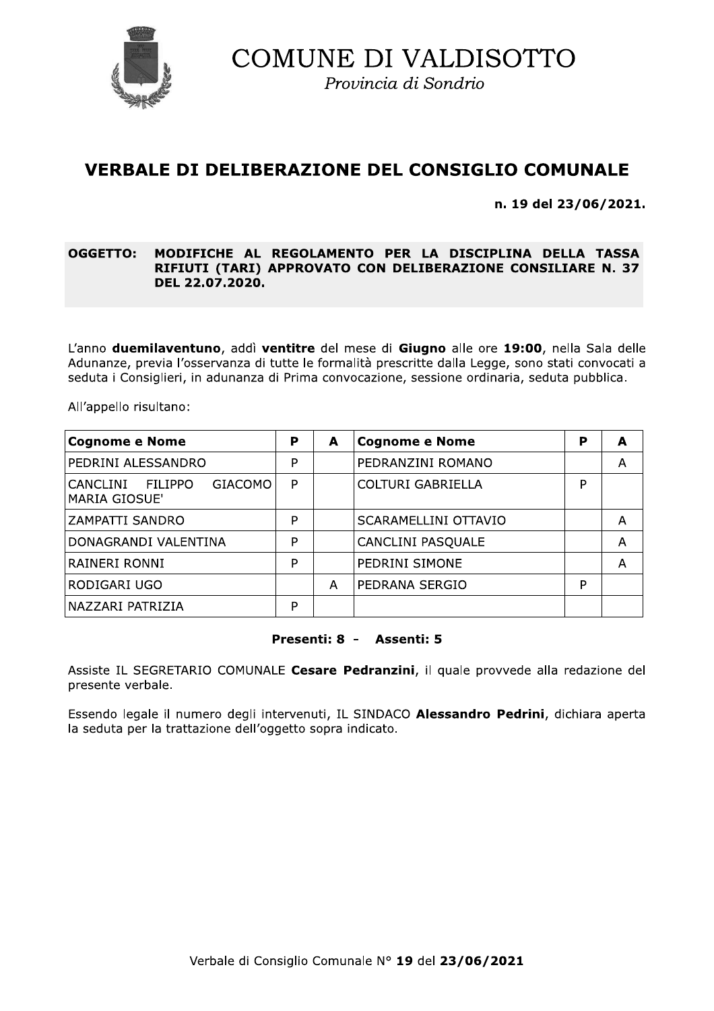

Provincia di Sondrio

# **VERBALE DI DELIBERAZIONE DEL CONSIGLIO COMUNALE**

n. 19 del 23/06/2021.

#### **OGGETTO:** MODIFICHE AL REGOLAMENTO PER LA DISCIPLINA DELLA TASSA RIFIUTI (TARI) APPROVATO CON DELIBERAZIONE CONSILIARE N. 37 DEL 22.07.2020.

L'anno duemilaventuno, addì ventitre del mese di Giugno alle ore 19:00, nella Sala delle Adunanze, previa l'osservanza di tutte le formalità prescritte dalla Legge, sono stati convocati a seduta i Consiglieri, in adunanza di Prima convocazione, sessione ordinaria, seduta pubblica.

All'appello risultano:

| <b>Cognome e Nome</b>                                                | P | A | <b>Cognome e Nome</b>    | P | A |
|----------------------------------------------------------------------|---|---|--------------------------|---|---|
| PEDRINI ALESSANDRO                                                   | P |   | PEDRANZINI ROMANO        |   | A |
| FILIPPO<br><b>GIACOMO</b><br><b>CANCLINI</b><br><b>MARIA GIOSUE'</b> | P |   | COLTURI GABRIELLA        | P |   |
| ZAMPATTI SANDRO                                                      | P |   | SCARAMELLINI OTTAVIO     |   | Α |
| DONAGRANDI VALENTINA                                                 | P |   | <b>CANCLINI PASQUALE</b> |   | А |
| RAINERI RONNI                                                        | P |   | PEDRINI SIMONE           |   | А |
| RODIGARI UGO                                                         |   | Α | PEDRANA SERGIO           | P |   |
| NAZZARI PATRIZIA                                                     | P |   |                          |   |   |

#### Presenti: 8 - Assenti: 5

Assiste IL SEGRETARIO COMUNALE Cesare Pedranzini, il quale provvede alla redazione del presente verbale.

Essendo legale il numero degli intervenuti, IL SINDACO Alessandro Pedrini, dichiara aperta la seduta per la trattazione dell'oggetto sopra indicato.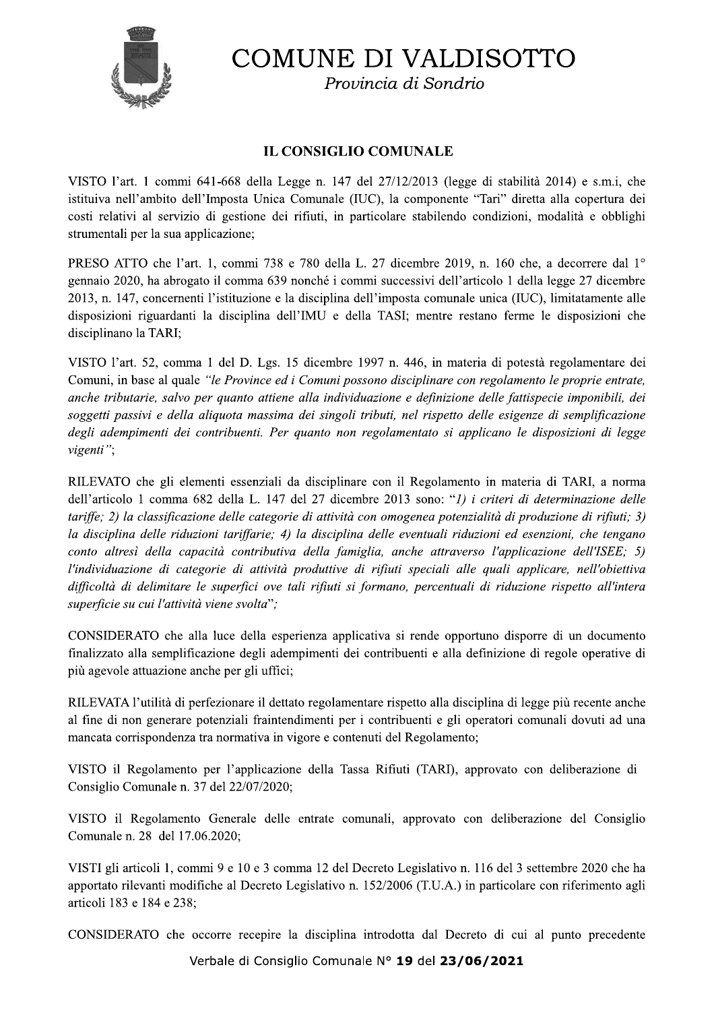

Provincia di Sondrio

# **IL CONSIGLIO COMUNALE**

VISTO l'art. 1 commi 641-668 della Legge n. 147 del 27/12/2013 (legge di stabilità 2014) e s.m.i. che istituiva nell'ambito dell'Imposta Unica Comunale (IUC), la componente "Tari" diretta alla copertura dei costi relativi al servizio di gestione dei rifiuti, in particolare stabilendo condizioni, modalità e obblighi strumentali per la sua applicazione;

PRESO ATTO che l'art. 1, commi 738 e 780 della L. 27 dicembre 2019, n. 160 che, a decorrere dal 1<sup>o</sup> gennaio 2020, ha abrogato il comma 639 nonché i commi successivi dell'articolo 1 della legge 27 dicembre 2013, n. 147, concernenti l'istituzione e la disciplina dell'imposta comunale unica (IUC), limitatamente alle disposizioni riguardanti la disciplina dell'IMU e della TASI; mentre restano ferme le disposizioni che disciplinano la TARI;

VISTO l'art. 52, comma 1 del D. Lgs. 15 dicembre 1997 n. 446, in materia di potestà regolamentare dei Comuni, in base al quale "le Province ed i Comuni possono disciplinare con regolamento le proprie entrate, anche tributarie, salvo per quanto attiene alla individuazione e definizione delle fattispecie imponibili, dei soggetti passivi e della aliquota massima dei singoli tributi, nel rispetto delle esigenze di semplificazione degli adempimenti dei contribuenti. Per quanto non regolamentato si applicano le disposizioni di legge vigenti";

RILEVATO che gli elementi essenziali da disciplinare con il Regolamento in materia di TARI, a norma dell'articolo 1 comma 682 della L. 147 del 27 dicembre 2013 sono: "1) i criteri di determinazione delle tariffe: 2) la classificazione delle categorie di attività con omogenea potenzialità di produzione di rifiuti; 3) la disciplina delle riduzioni tariffarie; 4) la disciplina delle eventuali riduzioni ed esenzioni, che tengano conto altresì della capacità contributiva della famiglia, anche attraverso l'applicazione dell'ISEE; 5) l'individuazione di categorie di attività produttive di rifiuti speciali alle quali applicare, nell'obiettiva difficoltà di delimitare le superfici ove tali rifiuti si formano, percentuali di riduzione rispetto all'intera superficie su cui l'attività viene svolta";

CONSIDERATO che alla luce della esperienza applicativa si rende opportuno disporre di un documento finalizzato alla semplificazione degli adempimenti dei contribuenti e alla definizione di regole operative di più agevole attuazione anche per gli uffici;

RILEVATA l'utilità di perfezionare il dettato regolamentare rispetto alla disciplina di legge più recente anche al fine di non generare potenziali fraintendimenti per i contribuenti e gli operatori comunali dovuti ad una mancata corrispondenza tra normativa in vigore e contenuti del Regolamento;

VISTO il Regolamento per l'applicazione della Tassa Rifiuti (TARI), approvato con deliberazione di Consiglio Comunale n. 37 del 22/07/2020;

VISTO il Regolamento Generale delle entrate comunali, approvato con deliberazione del Consiglio Comunale n. 28 del 17.06.2020;

VISTI gli articoli 1, commi 9 e 10 e 3 comma 12 del Decreto Legislativo n. 116 del 3 settembre 2020 che ha apportato rilevanti modifiche al Decreto Legislativo n. 152/2006 (T.U.A.) in particolare con riferimento agli articoli 183 e 184 e 238:

CONSIDERATO che occorre recepire la disciplina introdotta dal Decreto di cui al punto precedente

Verbale di Consiglio Comunale Nº 19 del 23/06/2021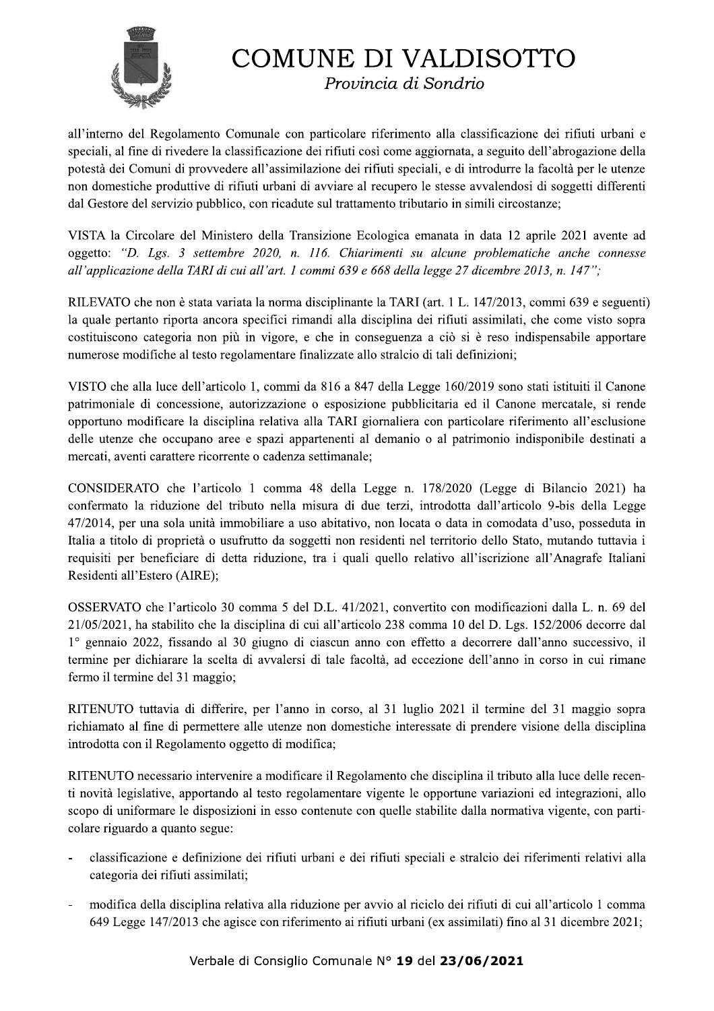

Provincia di Sondrio

all'interno del Regolamento Comunale con particolare riferimento alla classificazione dei rifiuti urbani e speciali, al fine di rivedere la classificazione dei rifiuti così come aggiornata, a seguito dell'abrogazione della potestà dei Comuni di provvedere all'assimilazione dei rifiuti speciali, e di introdurre la facoltà per le utenze non domestiche produttive di rifiuti urbani di avviare al recupero le stesse avvalendosi di soggetti differenti dal Gestore del servizio pubblico, con ricadute sul trattamento tributario in simili circostanze;

VISTA la Circolare del Ministero della Transizione Ecologica emanata in data 12 aprile 2021 avente ad oggetto: "D. Lgs. 3 settembre 2020, n. 116. Chiarimenti su alcune problematiche anche connesse all'applicazione della TARI di cui all'art. 1 commi 639 e 668 della legge 27 dicembre 2013, n. 147";

RILEVATO che non è stata variata la norma disciplinante la TARI (art. 1 L. 147/2013, commi 639 e seguenti) la quale pertanto riporta ancora specifici rimandi alla disciplina dei rifiuti assimilati, che come visto sopra costituiscono categoria non più in vigore, e che in conseguenza a ciò si è reso indispensabile apportare numerose modifiche al testo regolamentare finalizzate allo stralcio di tali definizioni;

VISTO che alla luce dell'articolo 1, commi da 816 a 847 della Legge 160/2019 sono stati istituiti il Canone patrimoniale di concessione, autorizzazione o esposizione pubblicitaria ed il Canone mercatale, si rende opportuno modificare la disciplina relativa alla TARI giornaliera con particolare riferimento all'esclusione delle utenze che occupano aree e spazi appartenenti al demanio o al patrimonio indisponibile destinati a mercati, aventi carattere ricorrente o cadenza settimanale;

CONSIDERATO che l'articolo 1 comma 48 della Legge n. 178/2020 (Legge di Bilancio 2021) ha confermato la riduzione del tributo nella misura di due terzi, introdotta dall'articolo 9-bis della Legge 47/2014, per una sola unità immobiliare a uso abitativo, non locata o data in comodata d'uso, posseduta in Italia a titolo di proprietà o usufrutto da soggetti non residenti nel territorio dello Stato, mutando tuttavia i requisiti per beneficiare di detta riduzione, tra i quali quello relativo all'iscrizione all'Anagrafe Italiani Residenti all'Estero (AIRE);

OSSERVATO che l'articolo 30 comma 5 del D.L. 41/2021, convertito con modificazioni dalla L. n. 69 del 21/05/2021, ha stabilito che la disciplina di cui all'articolo 238 comma 10 del D. Lgs. 152/2006 decorre dal 1° gennaio 2022, fissando al 30 giugno di ciascun anno con effetto a decorrere dall'anno successivo, il termine per dichiarare la scelta di avvalersi di tale facoltà, ad eccezione dell'anno in corso in cui rimane fermo il termine del 31 maggio;

RITENUTO tuttavia di differire, per l'anno in corso, al 31 luglio 2021 il termine del 31 maggio sopra richiamato al fine di permettere alle utenze non domestiche interessate di prendere visione della disciplina introdotta con il Regolamento oggetto di modifica;

RITENUTO necessario intervenire a modificare il Regolamento che disciplina il tributo alla luce delle recenti novità legislative, apportando al testo regolamentare vigente le opportune variazioni ed integrazioni, allo scopo di uniformare le disposizioni in esso contenute con quelle stabilite dalla normativa vigente, con particolare riguardo a quanto segue:

- classificazione e definizione dei rifiuti urbani e dei rifiuti speciali e stralcio dei riferimenti relativi alla categoria dei rifiuti assimilati;
- modifica della disciplina relativa alla riduzione per avvio al riciclo dei rifiuti di cui all'articolo 1 comma 649 Legge 147/2013 che agisce con riferimento ai rifiuti urbani (ex assimilati) fino al 31 dicembre 2021;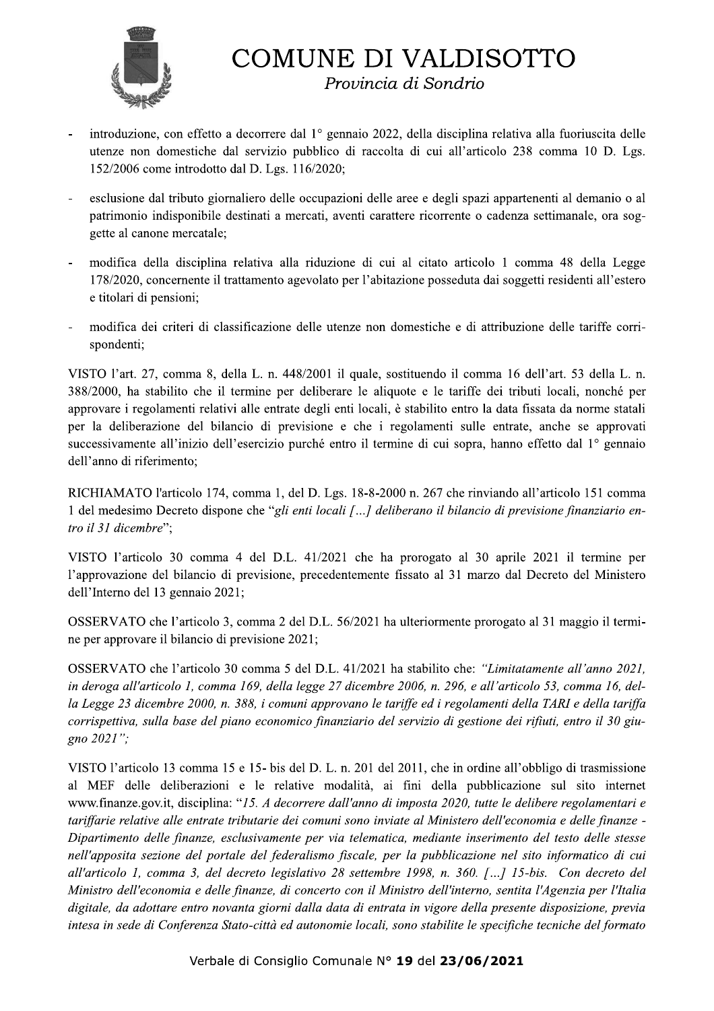

Provincia di Sondrio

- introduzione, con effetto a decorrere dal 1º gennaio 2022, della disciplina relativa alla fuoriuscita delle utenze non domestiche dal servizio pubblico di raccolta di cui all'articolo 238 comma 10 D. Lgs. 152/2006 come introdotto dal D. Lgs. 116/2020;
- esclusione dal tributo giornaliero delle occupazioni delle aree e degli spazi appartenenti al demanio o al patrimonio indisponibile destinati a mercati, aventi carattere ricorrente o cadenza settimanale, ora soggette al canone mercatale;
- modifica della disciplina relativa alla riduzione di cui al citato articolo 1 comma 48 della Legge 178/2020, concernente il trattamento agevolato per l'abitazione posseduta dai soggetti residenti all'estero e titolari di pensioni;
- modifica dei criteri di classificazione delle utenze non domestiche e di attribuzione delle tariffe corrispondenti;

VISTO l'art. 27, comma 8, della L. n. 448/2001 il quale, sostituendo il comma 16 dell'art. 53 della L. n. 388/2000, ha stabilito che il termine per deliberare le aliquote e le tariffe dei tributi locali, nonché per approvare i regolamenti relativi alle entrate degli enti locali, è stabilito entro la data fissata da norme statali per la deliberazione del bilancio di previsione e che i regolamenti sulle entrate, anche se approvati successivamente all'inizio dell'esercizio purché entro il termine di cui sopra, hanno effetto dal 1<sup>°</sup> gennaio dell'anno di riferimento;

RICHIAMATO l'articolo 174, comma 1, del D. Lgs. 18-8-2000 n. 267 che rinviando all'articolo 151 comma 1 del medesimo Decreto dispone che "gli enti locali [...] deliberano il bilancio di previsione finanziario entro il 31 dicembre";

VISTO l'articolo 30 comma 4 del D.L. 41/2021 che ha prorogato al 30 aprile 2021 il termine per l'approvazione del bilancio di previsione, precedentemente fissato al 31 marzo dal Decreto del Ministero dell'Interno del 13 gennaio 2021;

OSSERVATO che l'articolo 3, comma 2 del D.L. 56/2021 ha ulteriormente prorogato al 31 maggio il termine per approvare il bilancio di previsione 2021;

OSSERVATO che l'articolo 30 comma 5 del D.L. 41/2021 ha stabilito che: "Limitatamente all'anno 2021, in deroga all'articolo 1, comma 169, della legge 27 dicembre 2006, n. 296, e all'articolo 53, comma 16, della Legge 23 dicembre 2000, n. 388, i comuni approvano le tariffe ed i regolamenti della TARI e della tariffa corrispettiva, sulla base del piano economico finanziario del servizio di gestione dei rifiuti, entro il 30 giugno  $2021$ ";

ione del portale del federalismo fiscale, per la pubblicazione nel sitembra 3, del decreto legislativo 28 settembre 1998, n. 360. [...] 15-b<br>nomia e delle finanze, di concerto con il Ministro dell'interno, sentita<br>tare en VISTO l'articolo 13 comma 15 e 15-bis del D. L. n. 201 del 2011, che in ordine all'obbligo di trasmissione al MEF delle deliberazioni e le relative modalità, ai fini della pubblicazione sul sito internet www.finanze.gov.it, disciplina: "15. A decorrere dall'anno di imposta 2020, tutte le delibere regolamentari e tariffarie relative alle entrate tributarie dei comuni sono inviate al Ministero dell'economia e delle finanze -Dipartimento delle finanze, esclusivamente per via telematica, mediante inserimento del testo delle stesse nell'apposita sezione del portale del federalismo fiscale, per la pubblicazione nel sito informatico di cui all'articolo 1, comma 3, del decreto legislativo 28 settembre 1998, n. 360. [...] 15-bis. Con decreto del Ministro dell'economia e delle finanze, di concerto con il Ministro dell'interno, sentita l'Agenzia per l'Italia digitale, da adottare entro novanta giorni dalla data di entrata in vigore della presente disposizione, previa intesa in sede di Conferenza Stato-città ed autonomie locali, sono stabilite le specifiche tecniche del formato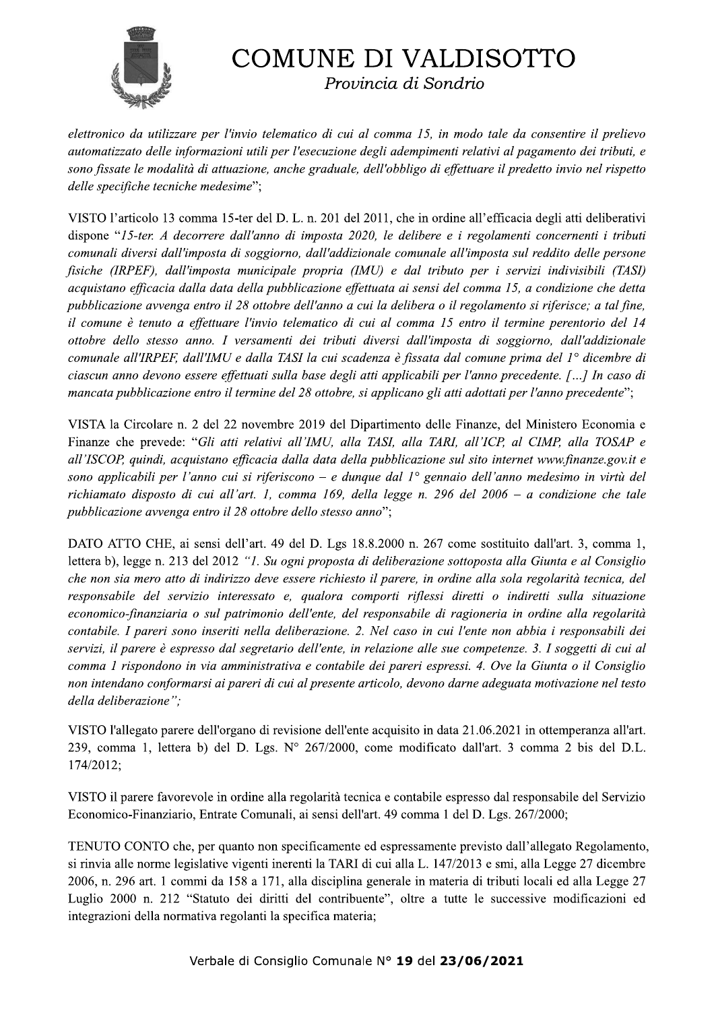

Provincia di Sondrio

elettronico da utilizzare per l'invio telematico di cui al comma 15, in modo tale da consentire il prelievo automatizzato delle informazioni utili per l'esecuzione degli adempimenti relativi al pagamento dei tributi, e sono fissate le modalità di attuazione, anche graduale, dell'obbligo di effettuare il predetto invio nel rispetto delle specifiche tecniche medesime";

VISTO l'articolo 13 comma 15-ter del D. L. n. 201 del 2011, che in ordine all'efficacia degli atti deliberativi dispone "15-ter. A decorrere dall'anno di imposta 2020, le delibere e i regolamenti concernenti i tributi comunali diversi dall'imposta di soggiorno, dall'addizionale comunale all'imposta sul reddito delle persone fisiche (IRPEF), dall'imposta municipale propria (IMU) e dal tributo per i servizi indivisibili (TASI) acquistano efficacia dalla data della pubblicazione effettuata ai sensi del comma 15, a condizione che detta pubblicazione avvenga entro il 28 ottobre dell'anno a cui la delibera o il regolamento si riferisce; a tal fine, il comune è tenuto a effettuare l'invio telematico di cui al comma 15 entro il termine perentorio del 14 ottobre dello stesso anno. I versamenti dei tributi diversi dall'imposta di soggiorno, dall'addizionale comunale all'IRPEF, dall'IMU e dalla TASI la cui scadenza è fissata dal comune prima del 1° dicembre di ciascun anno devono essere effettuati sulla base degli atti applicabili per l'anno precedente. [...] In caso di mancata pubblicazione entro il termine del 28 ottobre, si applicano gli atti adottati per l'anno precedente";

VISTA la Circolare n. 2 del 22 novembre 2019 del Dipartimento delle Finanze, del Ministero Economia e Finanze che prevede: "Gli atti relativi all'IMU, alla TASI, alla TARI, all'ICP, al CIMP, alla TOSAP e all'ISCOP, quindi, acquistano efficacia dalla data della pubblicazione sul sito internet www.finanze.gov.it e sono applicabili per l'anno cui si riferiscono – e dunque dal  $1^{\circ}$  gennaio dell'anno medesimo in virtù del richiamato disposto di cui all'art. 1, comma 169, della legge n. 296 del 2006 – a condizione che tale pubblicazione avvenga entro il 28 ottobre dello stesso anno";

DATO ATTO CHE, ai sensi dell'art. 49 del D. Lgs 18.8.2000 n. 267 come sostituito dall'art. 3, comma 1, lettera b), legge n. 213 del 2012 "*1. Su ogni proposta di deliberazione sottoposta alla Giunta e al Consiglio* che non sia mero atto di indirizzo deve essere richiesto il parere, in ordine alla sola regolarità tecnica, del responsabile del servizio interessato e, qualora comporti riflessi diretti o indiretti sulla situazione economico-finanziaria o sul patrimonio dell'ente, del responsabile di ragioneria in ordine alla regolarità contabile. I pareri sono inseriti nella deliberazione. 2. Nel caso in cui l'ente non abbia i responsabili dei servizi, il parere è espresso dal segretario dell'ente, in relazione alle sue competenze. 3. I soggetti di cui al comma 1 rispondono in via amministrativa e contabile dei pareri espressi. 4. Ove la Giunta o il Consiglio non intendano conformarsi ai pareri di cui al presente articolo, devono darne adeguata motivazione nel testo della deliberazione";

VISTO l'allegato parere dell'organo di revisione dell'ente acquisito in data 21.06.2021 in ottemperanza all'art. 239, comma 1, lettera b) del D. Lgs. Nº 267/2000, come modificato dall'art. 3 comma 2 bis del D.L. 174/2012:

VISTO il parere favorevole in ordine alla regolarità tecnica e contabile espresso dal responsabile del Servizio Economico-Finanziario, Entrate Comunali, ai sensi dell'art. 49 comma 1 del D. Lgs. 267/2000;

TENUTO CONTO che, per quanto non specificamente ed espressamente previsto dall'allegato Regolamento, si rinvia alle norme legislative vigenti inerenti la TARI di cui alla L. 147/2013 e smi, alla Legge 27 dicembre 2006, n. 296 art. 1 commi da 158 a 171, alla disciplina generale in materia di tributi locali ed alla Legge 27 Luglio 2000 n. 212 "Statuto dei diritti del contribuente", oltre a tutte le successive modificazioni ed integrazioni della normativa regolanti la specifica materia;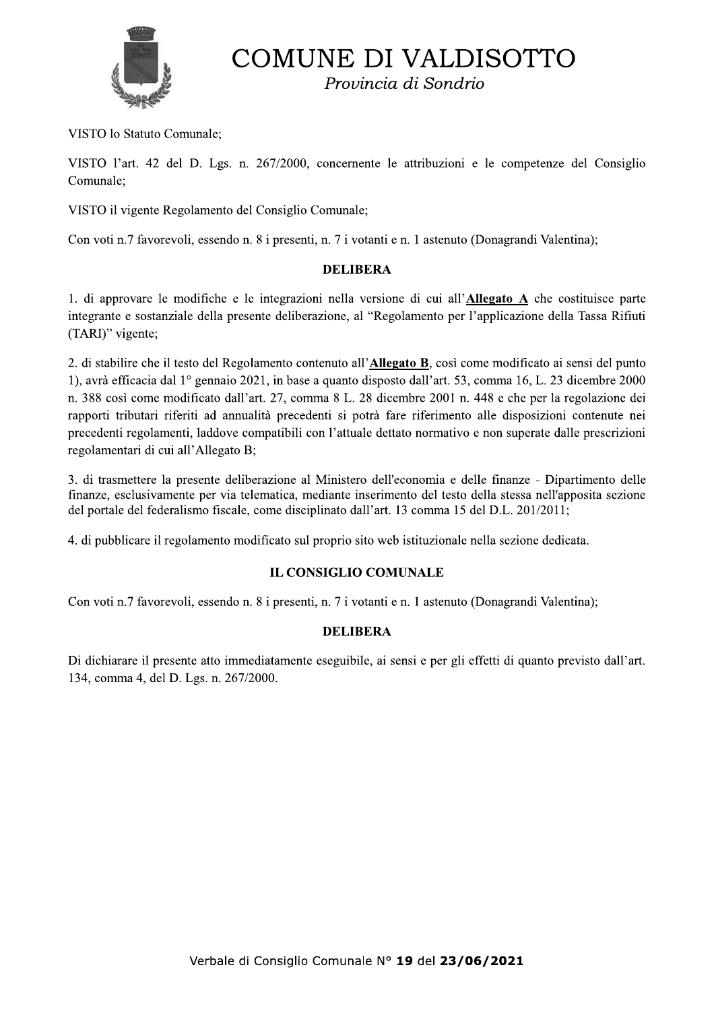

Provincia di Sondrio

VISTO lo Statuto Comunale;

VISTO l'art. 42 del D. Lgs. n. 267/2000, concernente le attribuzioni e le competenze del Consiglio Comunale:

VISTO il vigente Regolamento del Consiglio Comunale;

Con voti n.7 favorevoli, essendo n. 8 i presenti, n. 7 i votanti e n. 1 astenuto (Donagrandi Valentina);

#### **DELIBERA**

1. di approvare le modifiche e le integrazioni nella versione di cui all'Allegato A che costituisce parte integrante e sostanziale della presente deliberazione, al "Regolamento per l'applicazione della Tassa Rifiuti (TARI)" vigente;

2. di stabilire che il testo del Regolamento contenuto all'Allegato B, così come modificato ai sensi del punto 1), avrà efficacia dal 1<sup>°</sup> gennaio 2021, in base a quanto disposto dall'art. 53, comma 16, L. 23 dicembre 2000 n. 388 così come modificato dall'art. 27, comma 8 L. 28 dicembre 2001 n. 448 e che per la regolazione dei rapporti tributari riferiti ad annualità precedenti si potrà fare riferimento alle disposizioni contenute nei precedenti regolamenti, laddove compatibili con l'attuale dettato normativo e non superate dalle prescrizioni regolamentari di cui all'Allegato B;

3. di trasmettere la presente deliberazione al Ministero dell'economia e delle finanze - Dipartimento delle finanze, esclusivamente per via telematica, mediante inserimento del testo della stessa nell'apposita sezione del portale del federalismo fiscale, come disciplinato dall'art. 13 comma 15 del D.L. 201/2011;

4. di pubblicare il regolamento modificato sul proprio sito web istituzionale nella sezione dedicata.

## **IL CONSIGLIO COMUNALE**

Con voti n.7 favorevoli, essendo n. 8 i presenti, n. 7 i votanti e n. 1 astenuto (Donagrandi Valentina);

## **DELIBERA**

Di dichiarare il presente atto immediatamente eseguibile, ai sensi e per gli effetti di quanto previsto dall'art. 134, comma 4, del D. Lgs. n. 267/2000.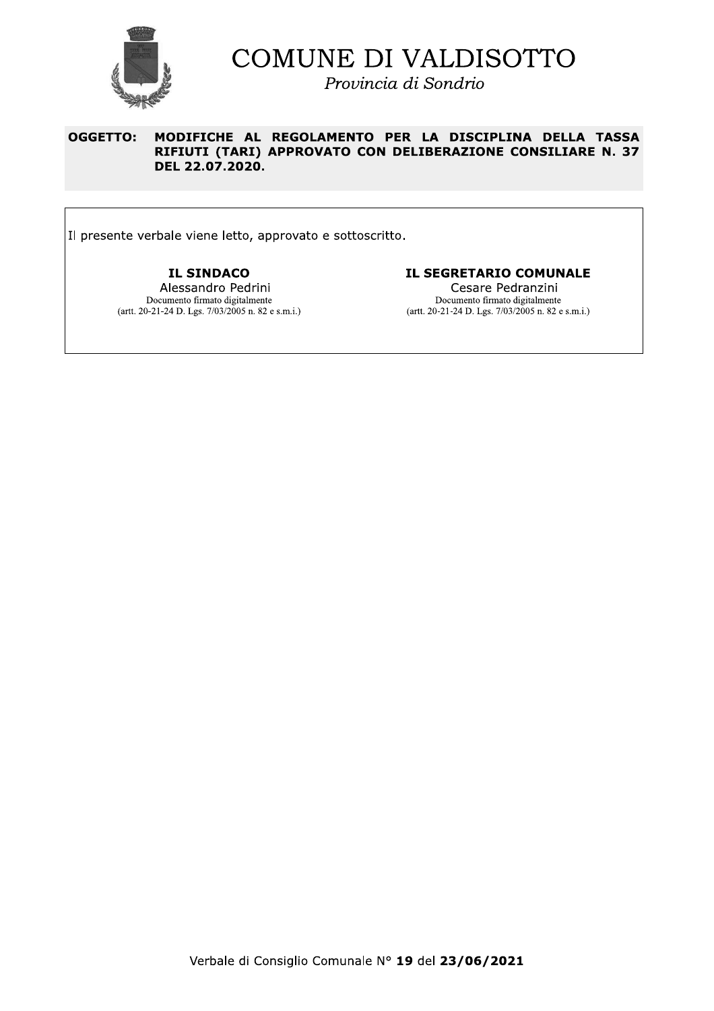

Provincia di Sondrio

#### **OGGETTO:** MODIFICHE AL REGOLAMENTO PER LA DISCIPLINA DELLA TASSA RIFIUTI (TARI) APPROVATO CON DELIBERAZIONE CONSILIARE N. 37 DEL 22.07.2020.

Il presente verbale viene letto, approvato e sottoscritto.

**IL SINDACO** Alessandro Pedrini Documento firmato digitalmente (artt. 20-21-24 D. Lgs. 7/03/2005 n. 82 e s.m.i.)

#### **IL SEGRETARIO COMUNALE**

Cesare Pedranzini Documento firmato digitalmente (artt. 20-21-24 D. Lgs.  $7/03/2005$  n. 82 e s.m.i.)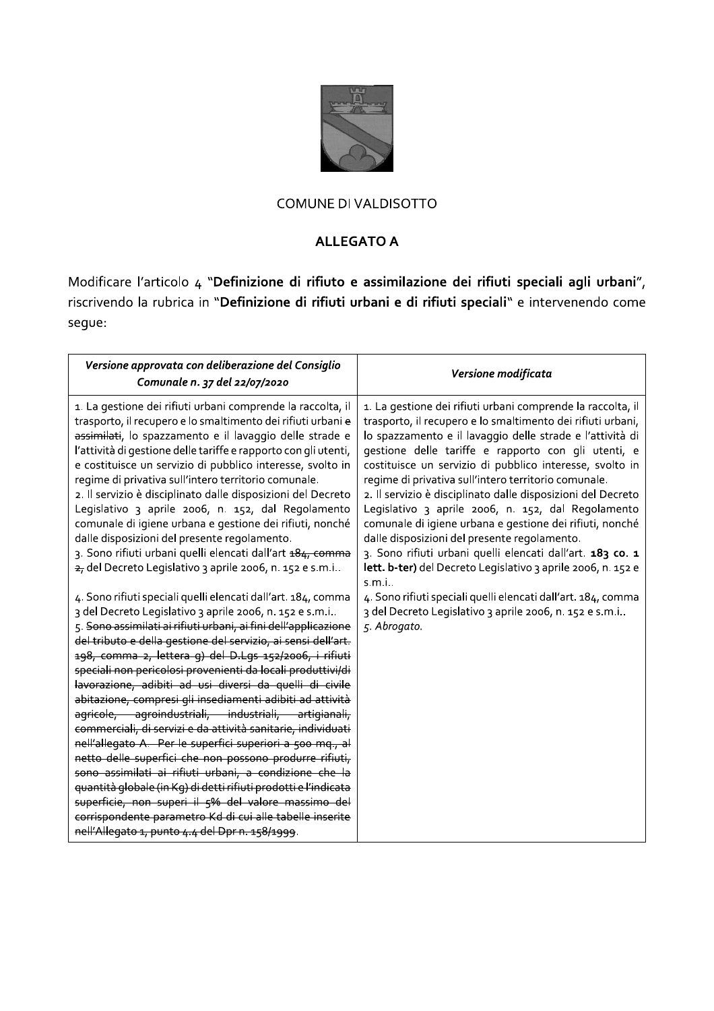

# **ALLEGATO A**

Modificare l'articolo 4 "Definizione di rifiuto e assimilazione dei rifiuti speciali agli urbani", riscrivendo la rubrica in "Definizione di rifiuti urbani e di rifiuti speciali" e intervenendo come segue:

| Versione approvata con deliberazione del Consiglio<br>Comunale n. 37 del 22/07/2020                                                                                                                                                                                                                                                                                                                                                                                                                                                                                                                                                                                                                                                                                                                                                                                                                                                                                                                                                                              | Versione modificata                                                                                                                                                                                                                                                                                                                                                                                                                                                                                                                                                                                                                                                                                                                          |
|------------------------------------------------------------------------------------------------------------------------------------------------------------------------------------------------------------------------------------------------------------------------------------------------------------------------------------------------------------------------------------------------------------------------------------------------------------------------------------------------------------------------------------------------------------------------------------------------------------------------------------------------------------------------------------------------------------------------------------------------------------------------------------------------------------------------------------------------------------------------------------------------------------------------------------------------------------------------------------------------------------------------------------------------------------------|----------------------------------------------------------------------------------------------------------------------------------------------------------------------------------------------------------------------------------------------------------------------------------------------------------------------------------------------------------------------------------------------------------------------------------------------------------------------------------------------------------------------------------------------------------------------------------------------------------------------------------------------------------------------------------------------------------------------------------------------|
| 1. La gestione dei rifiuti urbani comprende la raccolta, il<br>trasporto, il recupero e lo smaltimento dei rifiuti urbani e<br>assimilati, lo spazzamento e il lavaggio delle strade e<br>l'attività di gestione delle tariffe e rapporto con gli utenti,<br>e costituisce un servizio di pubblico interesse, svolto in<br>regime di privativa sull'intero territorio comunale.<br>2. Il servizio è disciplinato dalle disposizioni del Decreto<br>Legislativo 3 aprile 2006, n. 152, dal Regolamento<br>comunale di igiene urbana e gestione dei rifiuti, nonché<br>dalle disposizioni del presente regolamento.<br>3. Sono rifiuti urbani quelli elencati dall'art 484, comma<br>2, del Decreto Legislativo 3 aprile 2006, n. 152 e s.m.i                                                                                                                                                                                                                                                                                                                      | 1. La gestione dei rifiuti urbani comprende la raccolta, il<br>trasporto, il recupero e lo smaltimento dei rifiuti urbani,<br>lo spazzamento e il lavaggio delle strade e l'attività di<br>gestione delle tariffe e rapporto con gli utenti, e<br>costituisce un servizio di pubblico interesse, svolto in<br>regime di privativa sull'intero territorio comunale.<br>2. Il servizio è disciplinato dalle disposizioni del Decreto<br>Legislativo 3 aprile 2006, n. 152, dal Regolamento<br>comunale di igiene urbana e gestione dei rifiuti, nonché<br>dalle disposizioni del presente regolamento.<br>3. Sono rifiuti urbani quelli elencati dall'art. 183 co. 1<br>lett. b-ter) del Decreto Legislativo 3 aprile 2006, n. 152 e<br>s.m.i. |
| 4. Sono rifiuti speciali quelli elencati dall'art. 184, comma<br>3 del Decreto Legislativo 3 aprile 2006, n. 152 e s.m.i<br>5. Sono assimilati ai rifiuti urbani, ai fini dell'applicazione<br>del tributo e della gestione del servizio, ai sensi dell'art.<br>198, comma 2, lettera q) del D.Lgs 152/2006, i rifiuti<br>speciali non pericolosi provenienti da locali produttivi/di<br>lavorazione, adibiti ad usi diversi da quelli di civile<br>abitazione, compresi gli insediamenti adibiti ad attività<br>agricole, agroindustriali, industriali, artigianali,<br>commerciali, di servizi e da attività sanitarie, individuati<br>nell'allegato A. Per le superfici superiori a 500 mq., al<br>netto delle superfici che non possono produrre rifiuti,<br>sono assimilati ai rifiuti urbani, a condizione che la<br>quantità globale (in Kg) di detti rifiuti prodotti e l'indicata<br>superficie, non superi il 5% del valore massimo del<br>corrispondente parametro Kd di cui alle tabelle inserite<br>nell'Allegato 1, punto 4.4 del Dpr n. 158/1999. | 4. Sono rifiuti speciali quelli elencati dall'art. 184, comma<br>3 del Decreto Legislativo 3 aprile 2006, n. 152 e s.m.i<br>5. Abrogato.                                                                                                                                                                                                                                                                                                                                                                                                                                                                                                                                                                                                     |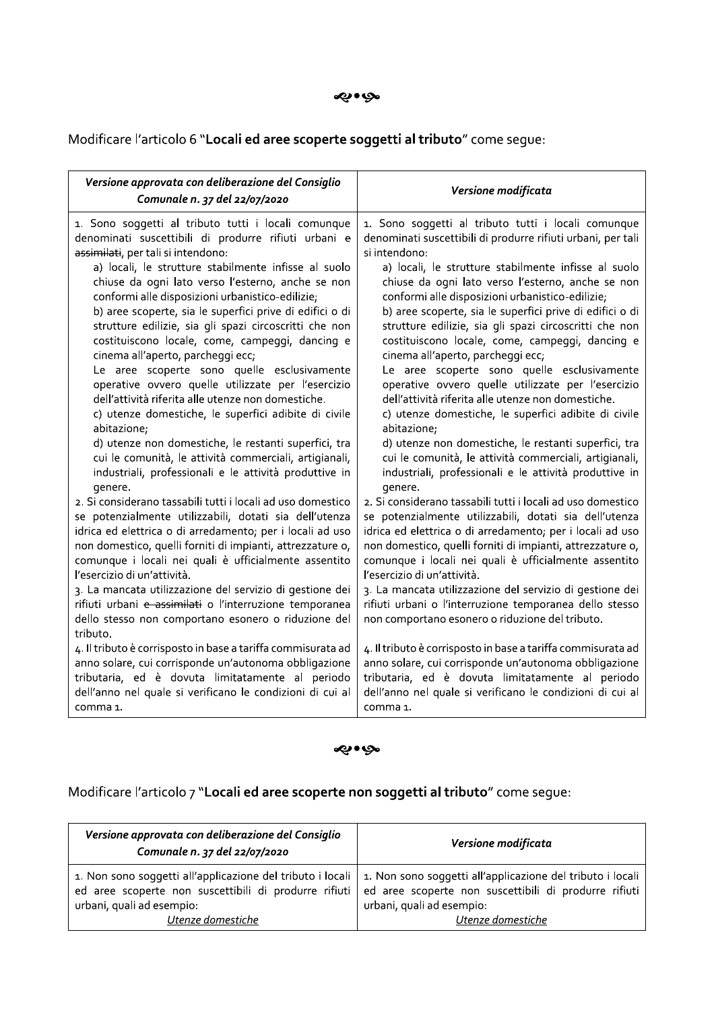#### مواوي

Modificare l'articolo 6 "Locali ed aree scoperte soggetti al tributo" come segue:

| Versione approvata con deliberazione del Consiglio<br>Comunale n. 37 del 22/07/2020                                                                                                                                                                                                                                                                                                                                                                                                                                                                                                                                                                         | Versione modificata                                                                                                                                                                                                                                                                                                                                                                                                                                                                                                                                                                                                                         |
|-------------------------------------------------------------------------------------------------------------------------------------------------------------------------------------------------------------------------------------------------------------------------------------------------------------------------------------------------------------------------------------------------------------------------------------------------------------------------------------------------------------------------------------------------------------------------------------------------------------------------------------------------------------|---------------------------------------------------------------------------------------------------------------------------------------------------------------------------------------------------------------------------------------------------------------------------------------------------------------------------------------------------------------------------------------------------------------------------------------------------------------------------------------------------------------------------------------------------------------------------------------------------------------------------------------------|
| 1. Sono soggetti al tributo tutti i locali comunque                                                                                                                                                                                                                                                                                                                                                                                                                                                                                                                                                                                                         | 1. Sono soggetti al tributo tutti i locali comunque                                                                                                                                                                                                                                                                                                                                                                                                                                                                                                                                                                                         |
| denominati suscettibili di produrre rifiuti urbani e                                                                                                                                                                                                                                                                                                                                                                                                                                                                                                                                                                                                        | denominati suscettibili di produrre rifiuti urbani, per tali                                                                                                                                                                                                                                                                                                                                                                                                                                                                                                                                                                                |
| assimilati, per tali si intendono:                                                                                                                                                                                                                                                                                                                                                                                                                                                                                                                                                                                                                          | si intendono:                                                                                                                                                                                                                                                                                                                                                                                                                                                                                                                                                                                                                               |
| a) locali, le strutture stabilmente infisse al suolo                                                                                                                                                                                                                                                                                                                                                                                                                                                                                                                                                                                                        | a) locali, le strutture stabilmente infisse al suolo                                                                                                                                                                                                                                                                                                                                                                                                                                                                                                                                                                                        |
| chiuse da ogni lato verso l'esterno, anche se non                                                                                                                                                                                                                                                                                                                                                                                                                                                                                                                                                                                                           | chiuse da ogni lato verso l'esterno, anche se non                                                                                                                                                                                                                                                                                                                                                                                                                                                                                                                                                                                           |
| conformi alle disposizioni urbanistico-edilizie;                                                                                                                                                                                                                                                                                                                                                                                                                                                                                                                                                                                                            | conformi alle disposizioni urbanistico-edilizie;                                                                                                                                                                                                                                                                                                                                                                                                                                                                                                                                                                                            |
| b) aree scoperte, sia le superfici prive di edifici o di                                                                                                                                                                                                                                                                                                                                                                                                                                                                                                                                                                                                    | b) aree scoperte, sia le superfici prive di edifici o di                                                                                                                                                                                                                                                                                                                                                                                                                                                                                                                                                                                    |
| strutture edilizie, sia gli spazi circoscritti che non                                                                                                                                                                                                                                                                                                                                                                                                                                                                                                                                                                                                      | strutture edilizie, sia gli spazi circoscritti che non                                                                                                                                                                                                                                                                                                                                                                                                                                                                                                                                                                                      |
| costituiscono locale, come, campeggi, dancing e                                                                                                                                                                                                                                                                                                                                                                                                                                                                                                                                                                                                             | costituiscono locale, come, campeggi, dancing e                                                                                                                                                                                                                                                                                                                                                                                                                                                                                                                                                                                             |
| cinema all'aperto, parcheggi ecc;                                                                                                                                                                                                                                                                                                                                                                                                                                                                                                                                                                                                                           | cinema all'aperto, parcheggi ecc;                                                                                                                                                                                                                                                                                                                                                                                                                                                                                                                                                                                                           |
| Le aree scoperte sono quelle esclusivamente                                                                                                                                                                                                                                                                                                                                                                                                                                                                                                                                                                                                                 | Le aree scoperte sono quelle esclusivamente                                                                                                                                                                                                                                                                                                                                                                                                                                                                                                                                                                                                 |
| operative ovvero quelle utilizzate per l'esercizio                                                                                                                                                                                                                                                                                                                                                                                                                                                                                                                                                                                                          | operative ovvero quelle utilizzate per l'esercizio                                                                                                                                                                                                                                                                                                                                                                                                                                                                                                                                                                                          |
| dell'attività riferita alle utenze non domestiche.                                                                                                                                                                                                                                                                                                                                                                                                                                                                                                                                                                                                          | dell'attività riferita alle utenze non domestiche.                                                                                                                                                                                                                                                                                                                                                                                                                                                                                                                                                                                          |
| c) utenze domestiche, le superfici adibite di civile                                                                                                                                                                                                                                                                                                                                                                                                                                                                                                                                                                                                        | c) utenze domestiche, le superfici adibite di civile                                                                                                                                                                                                                                                                                                                                                                                                                                                                                                                                                                                        |
| abitazione;                                                                                                                                                                                                                                                                                                                                                                                                                                                                                                                                                                                                                                                 | abitazione;                                                                                                                                                                                                                                                                                                                                                                                                                                                                                                                                                                                                                                 |
| d) utenze non domestiche, le restanti superfici, tra                                                                                                                                                                                                                                                                                                                                                                                                                                                                                                                                                                                                        | d) utenze non domestiche, le restanti superfici, tra                                                                                                                                                                                                                                                                                                                                                                                                                                                                                                                                                                                        |
| cui le comunità, le attività commerciali, artigianali,                                                                                                                                                                                                                                                                                                                                                                                                                                                                                                                                                                                                      | cui le comunità, le attività commerciali, artigianali,                                                                                                                                                                                                                                                                                                                                                                                                                                                                                                                                                                                      |
| industriali, professionali e le attività produttive in                                                                                                                                                                                                                                                                                                                                                                                                                                                                                                                                                                                                      | industriali, professionali e le attività produttive in                                                                                                                                                                                                                                                                                                                                                                                                                                                                                                                                                                                      |
| genere.                                                                                                                                                                                                                                                                                                                                                                                                                                                                                                                                                                                                                                                     | genere.                                                                                                                                                                                                                                                                                                                                                                                                                                                                                                                                                                                                                                     |
| 2. Si considerano tassabili tutti i locali ad uso domestico<br>se potenzialmente utilizzabili, dotati sia dell'utenza<br>idrica ed elettrica o di arredamento; per i locali ad uso<br>non domestico, quelli forniti di impianti, attrezzature o,<br>comunque i locali nei quali è ufficialmente assentito<br>l'esercizio di un'attività.<br>3. La mancata utilizzazione del servizio di gestione dei<br>rifiuti urbani e assimilati o l'interruzione temporanea<br>dello stesso non comportano esonero o riduzione del<br>tributo.<br>4. Il tributo è corrisposto in base a tariffa commisurata ad<br>anno solare, cui corrisponde un'autonoma obbligazione | 2. Si considerano tassabili tutti i locali ad uso domestico<br>se potenzialmente utilizzabili, dotati sia dell'utenza<br>idrica ed elettrica o di arredamento; per i locali ad uso<br>non domestico, quelli forniti di impianti, attrezzature o,<br>comunque i locali nei quali è ufficialmente assentito<br>l'esercizio di un'attività.<br>3. La mancata utilizzazione del servizio di gestione dei<br>rifiuti urbani o l'interruzione temporanea dello stesso<br>non comportano esonero o riduzione del tributo.<br>4. Il tributo è corrisposto in base a tariffa commisurata ad<br>anno solare, cui corrisponde un'autonoma obbligazione |
| tributaria, ed è dovuta limitatamente al periodo                                                                                                                                                                                                                                                                                                                                                                                                                                                                                                                                                                                                            | tributaria, ed è dovuta limitatamente al periodo                                                                                                                                                                                                                                                                                                                                                                                                                                                                                                                                                                                            |
| dell'anno nel quale si verificano le condizioni di cui al                                                                                                                                                                                                                                                                                                                                                                                                                                                                                                                                                                                                   | dell'anno nel quale si verificano le condizioni di cui al                                                                                                                                                                                                                                                                                                                                                                                                                                                                                                                                                                                   |
| comma 1.                                                                                                                                                                                                                                                                                                                                                                                                                                                                                                                                                                                                                                                    | comma 1.                                                                                                                                                                                                                                                                                                                                                                                                                                                                                                                                                                                                                                    |

#### مواوي

Modificare l'articolo 7 "Locali ed aree scoperte non soggetti al tributo" come segue:

| Versione approvata con deliberazione del Consiglio<br>Comunale n. 37 del 22/07/2020 | Versione modificata                                        |  |
|-------------------------------------------------------------------------------------|------------------------------------------------------------|--|
| 1. Non sono soggetti all'applicazione del tributo i locali                          | 1. Non sono soggetti all'applicazione del tributo i locali |  |
| ed aree scoperte non suscettibili di produrre rifiuti                               | ed aree scoperte non suscettibili di produrre rifiuti      |  |
| urbani, quali ad esempio:                                                           | urbani, quali ad esempio:                                  |  |
| Utenze domestiche                                                                   | Utenze domestiche                                          |  |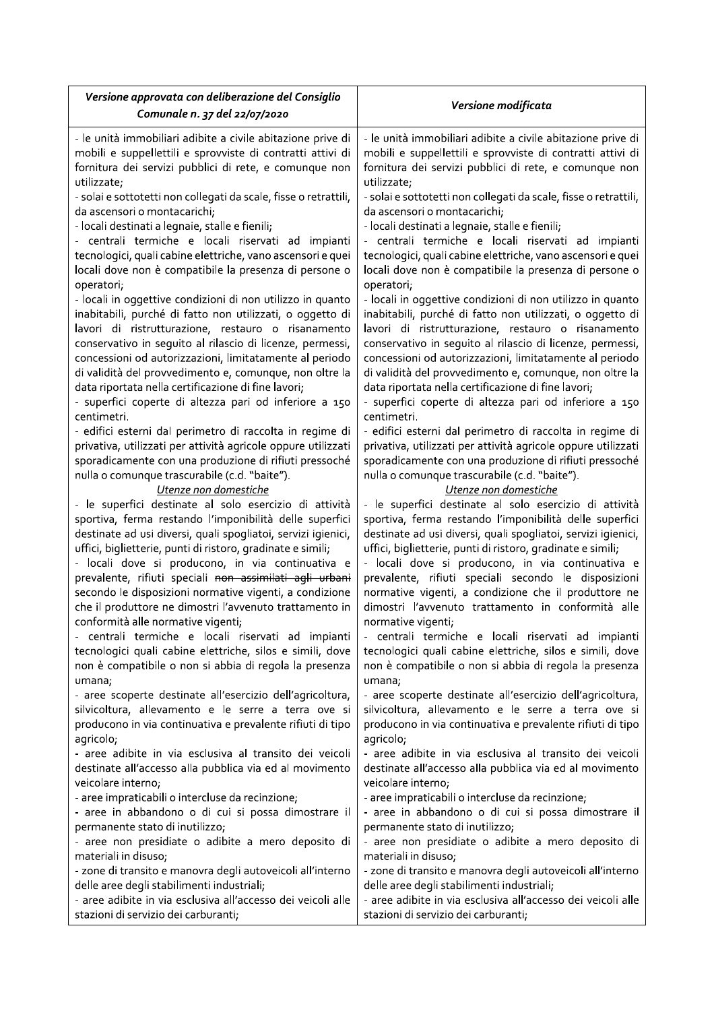| Versione approvata con deliberazione del Consiglio               | Versione modificata                                              |  |
|------------------------------------------------------------------|------------------------------------------------------------------|--|
| Comunale n. 37 del 22/07/2020                                    |                                                                  |  |
| - le unità immobiliari adibite a civile abitazione prive di      | - le unità immobiliari adibite a civile abitazione prive di      |  |
| mobili e suppellettili e sprovviste di contratti attivi di       | mobili e suppellettili e sprovviste di contratti attivi di       |  |
| fornitura dei servizi pubblici di rete, e comunque non           | fornitura dei servizi pubblici di rete, e comunque non           |  |
| utilizzate;                                                      | utilizzate;                                                      |  |
| - solai e sottotetti non collegati da scale, fisse o retrattili, | - solai e sottotetti non collegati da scale, fisse o retrattili, |  |
| da ascensori o montacarichi;                                     | da ascensori o montacarichi;                                     |  |
| - locali destinati a legnaie, stalle e fienili;                  | - locali destinati a legnaie, stalle e fienili;                  |  |
| - centrali termiche e locali riservati ad impianti               | - centrali termiche e locali riservati ad impianti               |  |
| tecnologici, quali cabine elettriche, vano ascensori e quei      | tecnologici, quali cabine elettriche, vano ascensori e quei      |  |
| locali dove non è compatibile la presenza di persone o           | locali dove non è compatibile la presenza di persone o           |  |
| operatori;                                                       | operatori;                                                       |  |
| - locali in oggettive condizioni di non utilizzo in quanto       | - locali in oggettive condizioni di non utilizzo in quanto       |  |
| inabitabili, purché di fatto non utilizzati, o oggetto di        | inabitabili, purché di fatto non utilizzati, o oggetto di        |  |
| lavori di ristrutturazione, restauro o risanamento               | lavori di ristrutturazione, restauro o risanamento               |  |
| conservativo in seguito al rilascio di licenze, permessi,        | conservativo in seguito al rilascio di licenze, permessi,        |  |
| concessioni od autorizzazioni, limitatamente al periodo          | concessioni od autorizzazioni, limitatamente al periodo          |  |
| di validità del provvedimento e, comunque, non oltre la          | di validità del provvedimento e, comunque, non oltre la          |  |
| data riportata nella certificazione di fine lavori;              | data riportata nella certificazione di fine lavori;              |  |
| - superfici coperte di altezza pari od inferiore a 150           | - superfici coperte di altezza pari od inferiore a 150           |  |
| centimetri.                                                      | centimetri.                                                      |  |
| - edifici esterni dal perimetro di raccolta in regime di         | - edifici esterni dal perimetro di raccolta in regime di         |  |
| privativa, utilizzati per attività agricole oppure utilizzati    | privativa, utilizzati per attività agricole oppure utilizzati    |  |
| sporadicamente con una produzione di rifiuti pressoché           | sporadicamente con una produzione di rifiuti pressoché           |  |
| nulla o comunque trascurabile (c.d. "baite").                    | nulla o comunque trascurabile (c.d. "baite").                    |  |
| Utenze non domestiche                                            | Utenze non domestiche                                            |  |
| - le superfici destinate al solo esercizio di attività           | - le superfici destinate al solo esercizio di attività           |  |
| sportiva, ferma restando l'imponibilità delle superfici          | sportiva, ferma restando l'imponibilità delle superfici          |  |
| destinate ad usi diversi, quali spogliatoi, servizi igienici,    | destinate ad usi diversi, quali spogliatoi, servizi igienici,    |  |
| uffici, biglietterie, punti di ristoro, gradinate e simili;      | uffici, biglietterie, punti di ristoro, gradinate e simili;      |  |
| - locali dove si producono, in via continuativa e                | - locali dove si producono, in via continuativa e                |  |
| prevalente, rifiuti speciali non assimilati agli urbani          | prevalente, rifiuti speciali secondo le disposizioni             |  |
| secondo le disposizioni normative vigenti, a condizione          | normative vigenti, a condizione che il produttore ne             |  |
| che il produttore ne dimostri l'avvenuto trattamento in          | dimostri l'avvenuto trattamento in conformità alle               |  |
| conformità alle normative vigenti;                               | normative vigenti;                                               |  |
| - centrali termiche e locali riservati ad impianti               | - centrali termiche e locali riservati ad impianti               |  |
| tecnologici quali cabine elettriche, silos e simili, dove        | tecnologici quali cabine elettriche, silos e simili, dove        |  |
| non è compatibile o non si abbia di regola la presenza           | non è compatibile o non si abbia di regola la presenza           |  |
| umana;                                                           | umana;                                                           |  |
| - aree scoperte destinate all'esercizio dell'agricoltura,        | - aree scoperte destinate all'esercizio dell'agricoltura,        |  |
| silvicoltura, allevamento e le serre a terra ove si              | silvicoltura, allevamento e le serre a terra ove si              |  |
| producono in via continuativa e prevalente rifiuti di tipo       | producono in via continuativa e prevalente rifiuti di tipo       |  |
| agricolo;                                                        | agricolo;                                                        |  |
| - aree adibite in via esclusiva al transito dei veicoli          | - aree adibite in via esclusiva al transito dei veicoli          |  |
| destinate all'accesso alla pubblica via ed al movimento          | destinate all'accesso alla pubblica via ed al movimento          |  |
| veicolare interno;                                               | veicolare interno;                                               |  |
| - aree impraticabili o intercluse da recinzione;                 | - aree impraticabili o intercluse da recinzione;                 |  |
| - aree in abbandono o di cui si possa dimostrare il              | - aree in abbandono o di cui si possa dimostrare il              |  |
| permanente stato di inutilizzo;                                  | permanente stato di inutilizzo;                                  |  |
| - aree non presidiate o adibite a mero deposito di               | - aree non presidiate o adibite a mero deposito di               |  |
| materiali in disuso;                                             | materiali in disuso;                                             |  |
| - zone di transito e manovra degli autoveicoli all'interno       | - zone di transito e manovra degli autoveicoli all'interno       |  |
| delle aree degli stabilimenti industriali;                       | delle aree degli stabilimenti industriali;                       |  |
| - aree adibite in via esclusiva all'accesso dei veicoli alle     | - aree adibite in via esclusiva all'accesso dei veicoli alle     |  |
| stazioni di servizio dei carburanti;                             | stazioni di servizio dei carburanti;                             |  |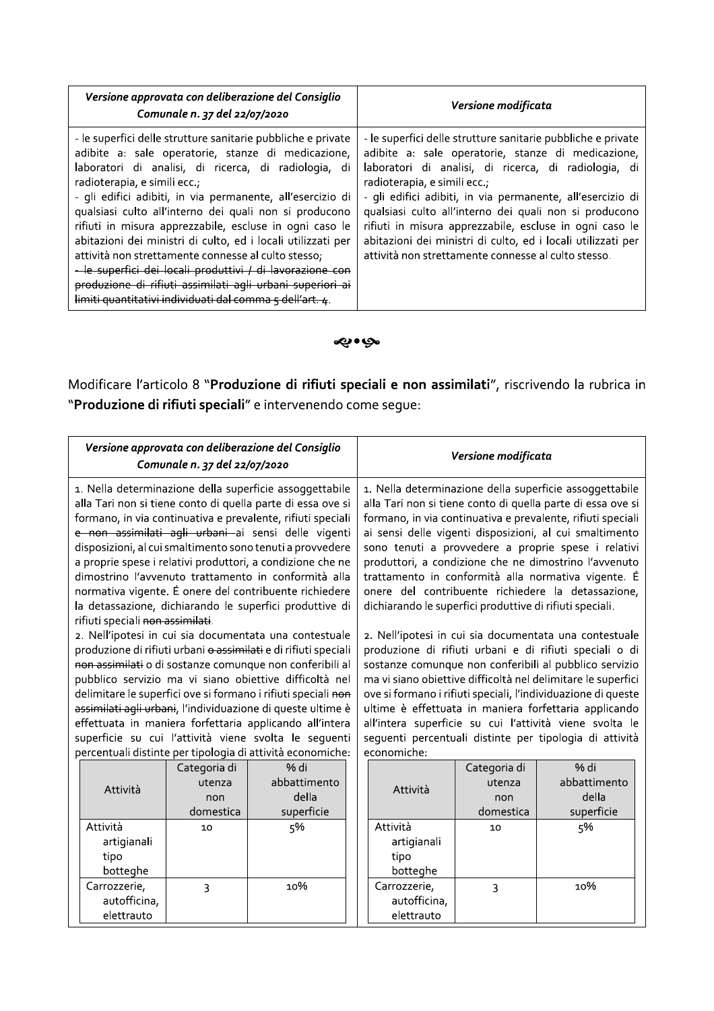| Versione approvata con deliberazione del Consiglio<br>Comunale n. 37 del 22/07/2020                                                                                                                                                                                                                                                                                                                                                                                                                                                                                                                                                                                                                                   | Versione modificata                                                                                                                                                                                                                                                                                                                                                                                                                                                                                                  |
|-----------------------------------------------------------------------------------------------------------------------------------------------------------------------------------------------------------------------------------------------------------------------------------------------------------------------------------------------------------------------------------------------------------------------------------------------------------------------------------------------------------------------------------------------------------------------------------------------------------------------------------------------------------------------------------------------------------------------|----------------------------------------------------------------------------------------------------------------------------------------------------------------------------------------------------------------------------------------------------------------------------------------------------------------------------------------------------------------------------------------------------------------------------------------------------------------------------------------------------------------------|
| - le superfici delle strutture sanitarie pubbliche e private<br>adibite a: sale operatorie, stanze di medicazione,<br>laboratori di analisi, di ricerca, di radiologia, di<br>radioterapia, e simili ecc.;<br>- gli edifici adibiti, in via permanente, all'esercizio di<br>qualsiasi culto all'interno dei quali non si producono<br>rifiuti in misura apprezzabile, escluse in ogni caso le<br>abitazioni dei ministri di culto, ed i locali utilizzati per<br>attività non strettamente connesse al culto stesso;<br><del>- le superfici dei locali produttivi / di lavorazione con</del><br>produzione di rifiuti assimilati agli urbani superiori ai<br>limiti quantitativi individuati dal comma 5 dell'art. 4. | - le superfici delle strutture sanitarie pubbliche e private<br>adibite a: sale operatorie, stanze di medicazione,<br>laboratori di analisi, di ricerca, di radiologia, di<br>radioterapia, e simili ecc.;<br>- gli edifici adibiti, in via permanente, all'esercizio di<br>qualsiasi culto all'interno dei quali non si producono<br>rifiuti in misura apprezzabile, escluse in ogni caso le<br>abitazioni dei ministri di culto, ed i locali utilizzati per<br>attività non strettamente connesse al culto stesso. |

# می•بچه

Modificare l'articolo 8 "Produzione di rifiuti speciali e non assimilati", riscrivendo la rubrica in "Produzione di rifiuti speciali" e intervenendo come segue:

| Versione approvata con deliberazione del Consiglio<br>Comunale n. 37 del 22/07/2020                                                                                                                                                                                                                                                                                                                                                                                                                                                                                                                   |                                            |                                             |                                                                                                                                                                                                                                                                                                                                                                                                                                                                                                                                           | Versione modificata                        |                                                                                                                                                                                                                                                                                                                                                                                                                                                                                             |
|-------------------------------------------------------------------------------------------------------------------------------------------------------------------------------------------------------------------------------------------------------------------------------------------------------------------------------------------------------------------------------------------------------------------------------------------------------------------------------------------------------------------------------------------------------------------------------------------------------|--------------------------------------------|---------------------------------------------|-------------------------------------------------------------------------------------------------------------------------------------------------------------------------------------------------------------------------------------------------------------------------------------------------------------------------------------------------------------------------------------------------------------------------------------------------------------------------------------------------------------------------------------------|--------------------------------------------|---------------------------------------------------------------------------------------------------------------------------------------------------------------------------------------------------------------------------------------------------------------------------------------------------------------------------------------------------------------------------------------------------------------------------------------------------------------------------------------------|
| 1. Nella determinazione della superficie assoggettabile<br>alla Tari non si tiene conto di quella parte di essa ove si<br>formano, in via continuativa e prevalente, rifiuti speciali<br>e non assimilati agli urbani ai sensi delle vigenti<br>disposizioni, al cui smaltimento sono tenuti a provvedere<br>a proprie spese i relativi produttori, a condizione che ne<br>dimostrino l'avvenuto trattamento in conformità alla<br>normativa vigente. É onere del contribuente richiedere<br>la detassazione, dichiarando le superfici produttive di                                                  |                                            |                                             | 1. Nella determinazione della superficie assoggettabile<br>alla Tari non si tiene conto di quella parte di essa ove si<br>formano, in via continuativa e prevalente, rifiuti speciali<br>ai sensi delle vigenti disposizioni, al cui smaltimento<br>sono tenuti a provvedere a proprie spese i relativi<br>produttori, a condizione che ne dimostrino l'avvenuto<br>trattamento in conformità alla normativa vigente. É<br>onere del contribuente richiedere la detassazione,<br>dichiarando le superfici produttive di rifiuti speciali. |                                            |                                                                                                                                                                                                                                                                                                                                                                                                                                                                                             |
| rifiuti speciali non assimilati.<br>2. Nell'ipotesi in cui sia documentata una contestuale<br>produzione di rifiuti urbani o assimilati e di rifiuti speciali<br>non assimilati o di sostanze comunque non conferibili al<br>pubblico servizio ma vi siano obiettive difficoltà nel<br>delimitare le superfici ove si formano i rifiuti speciali non<br>assimilati agli urbani, l'individuazione di queste ultime è<br>effettuata in maniera forfettaria applicando all'intera<br>superficie su cui l'attività viene svolta le seguenti<br>percentuali distinte per tipologia di attività economiche: |                                            |                                             | economiche:                                                                                                                                                                                                                                                                                                                                                                                                                                                                                                                               |                                            | 2. Nell'ipotesi in cui sia documentata una contestuale<br>produzione di rifiuti urbani e di rifiuti speciali o di<br>sostanze comunque non conferibili al pubblico servizio<br>ma vi siano obiettive difficoltà nel delimitare le superfici<br>ove si formano i rifiuti speciali, l'individuazione di queste<br>ultime è effettuata in maniera forfettaria applicando<br>all'intera superficie su cui l'attività viene svolta le<br>seguenti percentuali distinte per tipologia di attività |
| Attività                                                                                                                                                                                                                                                                                                                                                                                                                                                                                                                                                                                              | Categoria di<br>utenza<br>non<br>domestica | % di<br>abbattimento<br>della<br>superficie | Attività                                                                                                                                                                                                                                                                                                                                                                                                                                                                                                                                  | Categoria di<br>utenza<br>non<br>domestica | % di<br>abbattimento<br>della<br>superficie                                                                                                                                                                                                                                                                                                                                                                                                                                                 |
| Attività<br>artigianali<br>tipo<br>botteghe                                                                                                                                                                                                                                                                                                                                                                                                                                                                                                                                                           | 10                                         | 5%                                          | Attività<br>artigianali<br>tipo<br>botteghe                                                                                                                                                                                                                                                                                                                                                                                                                                                                                               | 10                                         | 5%                                                                                                                                                                                                                                                                                                                                                                                                                                                                                          |
| Carrozzerie,<br>autofficina,<br>elettrauto                                                                                                                                                                                                                                                                                                                                                                                                                                                                                                                                                            | $\overline{3}$                             | 10%                                         | Carrozzerie,<br>autofficina,<br>elettrauto                                                                                                                                                                                                                                                                                                                                                                                                                                                                                                | 3                                          | 10%                                                                                                                                                                                                                                                                                                                                                                                                                                                                                         |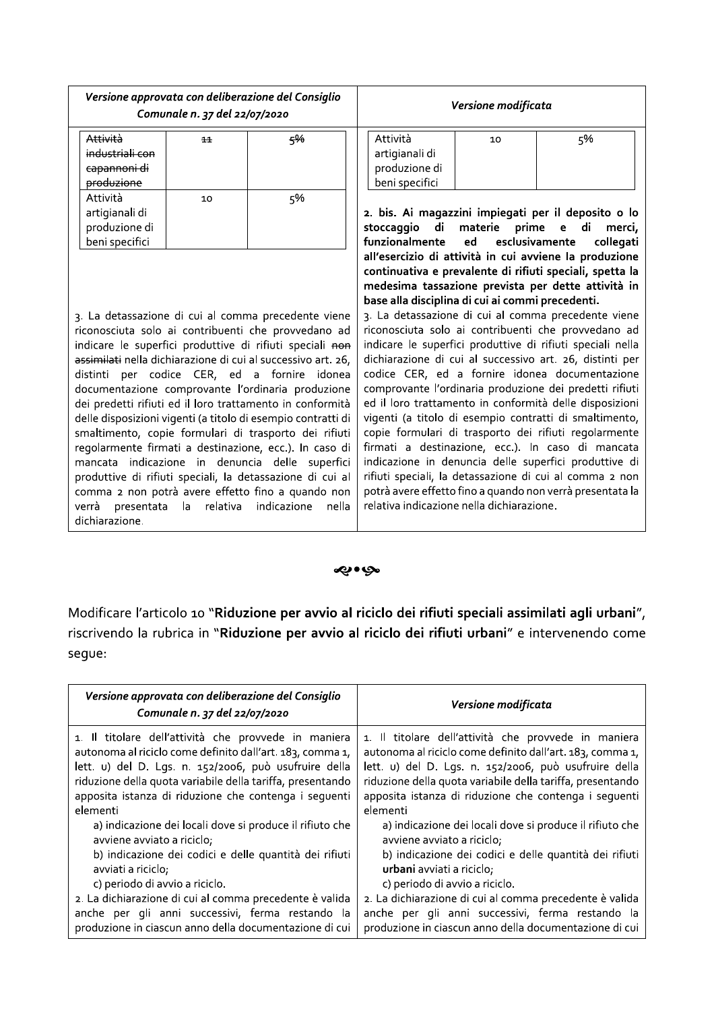| Versione approvata con deliberazione del Consiglio<br>Comunale n. 37 del 22/07/2020                                                                                                                                                                                                                                                                                                                                                                                                                                                                                                                                                                                                                                                                              |    | Versione modificata                                                                           |                                                                                                                                                           |                                                                                                                                                                                                                                                                                                                                                                                                                                                                                                                                                                                                                                                                                                                                                                                                                                                                                                                                                   |                     |
|------------------------------------------------------------------------------------------------------------------------------------------------------------------------------------------------------------------------------------------------------------------------------------------------------------------------------------------------------------------------------------------------------------------------------------------------------------------------------------------------------------------------------------------------------------------------------------------------------------------------------------------------------------------------------------------------------------------------------------------------------------------|----|-----------------------------------------------------------------------------------------------|-----------------------------------------------------------------------------------------------------------------------------------------------------------|---------------------------------------------------------------------------------------------------------------------------------------------------------------------------------------------------------------------------------------------------------------------------------------------------------------------------------------------------------------------------------------------------------------------------------------------------------------------------------------------------------------------------------------------------------------------------------------------------------------------------------------------------------------------------------------------------------------------------------------------------------------------------------------------------------------------------------------------------------------------------------------------------------------------------------------------------|---------------------|
| Attività<br>industriali con<br>capannoni di<br>produzione                                                                                                                                                                                                                                                                                                                                                                                                                                                                                                                                                                                                                                                                                                        | 11 | 5%                                                                                            | Attività<br>artigianali di<br>produzione di<br>beni specifici                                                                                             | 10                                                                                                                                                                                                                                                                                                                                                                                                                                                                                                                                                                                                                                                                                                                                                                                                                                                                                                                                                | 5%                  |
| Attività<br>artigianali di<br>produzione di<br>beni specifici                                                                                                                                                                                                                                                                                                                                                                                                                                                                                                                                                                                                                                                                                                    | 10 | 5%                                                                                            | 2. bis. Ai magazzini impiegati per il deposito o lo<br>di<br>materie<br>stoccaggio<br>prime<br>di<br>$\epsilon$<br>funzionalmente<br>esclusivamente<br>ed |                                                                                                                                                                                                                                                                                                                                                                                                                                                                                                                                                                                                                                                                                                                                                                                                                                                                                                                                                   | merci,<br>collegati |
| 3. La detassazione di cui al comma precedente viene<br>riconosciuta solo ai contribuenti che provvedano ad<br>indicare le superfici produttive di rifiuti speciali non<br>assimilati nella dichiarazione di cui al successivo art. 26,<br>distinti per codice CER, ed a fornire idonea<br>documentazione comprovante l'ordinaria produzione<br>dei predetti rifiuti ed il loro trattamento in conformità<br>delle disposizioni vigenti (a titolo di esempio contratti di<br>smaltimento, copie formulari di trasporto dei rifiuti<br>regolarmente firmati a destinazione, ecc.). In caso di<br>mancata indicazione in denuncia delle superfici<br>produttive di rifiuti speciali, la detassazione di cui al<br>comma 2 non potrà avere effetto fino a quando non |    | base alla disciplina di cui ai commi precedenti.<br>relativa indicazione nella dichiarazione. |                                                                                                                                                           | all'esercizio di attività in cui avviene la produzione<br>continuativa e prevalente di rifiuti speciali, spetta la<br>medesima tassazione prevista per dette attività in<br>3. La detassazione di cui al comma precedente viene<br>riconosciuta solo ai contribuenti che provvedano ad<br>indicare le superfici produttive di rifiuti speciali nella<br>dichiarazione di cui al successivo art. 26, distinti per<br>codice CER, ed a fornire idonea documentazione<br>comprovante l'ordinaria produzione dei predetti rifiuti<br>ed il loro trattamento in conformità delle disposizioni<br>vigenti (a titolo di esempio contratti di smaltimento,<br>copie formulari di trasporto dei rifiuti regolarmente<br>firmati a destinazione, ecc.). In caso di mancata<br>indicazione in denuncia delle superfici produttive di<br>rifiuti speciali, la detassazione di cui al comma 2 non<br>potrà avere effetto fino a quando non verrà presentata la |                     |

#### ی وي.

Modificare l'articolo 10 "Riduzione per avvio al riciclo dei rifiuti speciali assimilati agli urbani", riscrivendo la rubrica in "Riduzione per avvio al riciclo dei rifiuti urbani" e intervenendo come segue:

| Versione approvata con deliberazione del Consiglio<br>Comunale n. 37 del 22/07/2020 | Versione modificata                                        |  |
|-------------------------------------------------------------------------------------|------------------------------------------------------------|--|
| 1. Il titolare dell'attività che provvede in maniera                                | 1. Il titolare dell'attività che provvede in maniera       |  |
| autonoma al riciclo come definito dall'art. 183, comma 1,                           | autonoma al riciclo come definito dall'art. 183, comma 1,  |  |
| lett. u) del D. Lgs. n. 152/2006, può usufruire della                               | lett. u) del D. Lgs. n. 152/2006, può usufruire della      |  |
| riduzione della quota variabile della tariffa, presentando                          | riduzione della quota variabile della tariffa, presentando |  |
| apposita istanza di riduzione che contenga i sequenti                               | apposita istanza di riduzione che contenga i sequenti      |  |
| elementi                                                                            | elementi                                                   |  |
| a) indicazione dei locali dove si produce il rifiuto che                            | a) indicazione dei locali dove si produce il rifiuto che   |  |
| avviene avviato a riciclo;                                                          | avviene avviato a riciclo;                                 |  |
| b) indicazione dei codici e delle quantità dei rifiuti                              | b) indicazione dei codici e delle quantità dei rifiuti     |  |
| avviati a riciclo;                                                                  | <b>urbani</b> avviati a riciclo;                           |  |
| c) periodo di avvio a riciclo.                                                      | c) periodo di avvio a riciclo.                             |  |
| 2. La dichiarazione di cui al comma precedente è valida                             | 2. La dichiarazione di cui al comma precedente è valida    |  |
| anche per gli anni successivi, ferma restando la                                    | anche per gli anni successivi, ferma restando la           |  |
| produzione in ciascun anno della documentazione di cui                              | produzione in ciascun anno della documentazione di cui     |  |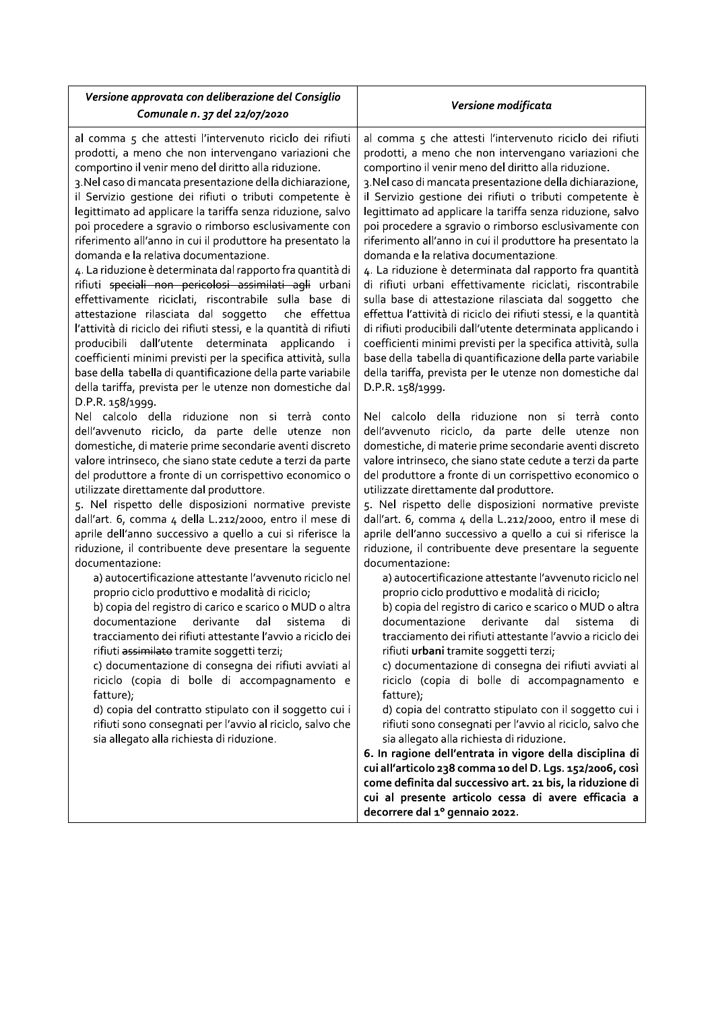| Versione approvata con deliberazione del Consiglio<br>Comunale n. 37 del 22/07/2020                                                                                                                                                                                                                                                                                                                                                                                                                                                                                                                                                                                                                                                                                                                                                                                                                                                                                                                                                                                                                                                                                                                                                                                                                                                                                                                                                                                                                                                                                                                                                                                                                                                                                                                                                                                                                                                                                                                                                                                                                                                                                                                                                                                                                                                                    | Versione modificata                                                                                                                                                                                                                                                                                                                                                                                                                                                                                                                                                                                                                                                                                                                                                                                                                                                                                                                                                                                                                                                                                                                                                                                                                                                                                                                                                                                                                                                                                                                                                                                                                                                                                                                                                                                                                                                                                                                                                                                                                                                                                                                                                                                                                                                                                                                                                                                                                                                                                                                                                                |
|--------------------------------------------------------------------------------------------------------------------------------------------------------------------------------------------------------------------------------------------------------------------------------------------------------------------------------------------------------------------------------------------------------------------------------------------------------------------------------------------------------------------------------------------------------------------------------------------------------------------------------------------------------------------------------------------------------------------------------------------------------------------------------------------------------------------------------------------------------------------------------------------------------------------------------------------------------------------------------------------------------------------------------------------------------------------------------------------------------------------------------------------------------------------------------------------------------------------------------------------------------------------------------------------------------------------------------------------------------------------------------------------------------------------------------------------------------------------------------------------------------------------------------------------------------------------------------------------------------------------------------------------------------------------------------------------------------------------------------------------------------------------------------------------------------------------------------------------------------------------------------------------------------------------------------------------------------------------------------------------------------------------------------------------------------------------------------------------------------------------------------------------------------------------------------------------------------------------------------------------------------------------------------------------------------------------------------------------------------|------------------------------------------------------------------------------------------------------------------------------------------------------------------------------------------------------------------------------------------------------------------------------------------------------------------------------------------------------------------------------------------------------------------------------------------------------------------------------------------------------------------------------------------------------------------------------------------------------------------------------------------------------------------------------------------------------------------------------------------------------------------------------------------------------------------------------------------------------------------------------------------------------------------------------------------------------------------------------------------------------------------------------------------------------------------------------------------------------------------------------------------------------------------------------------------------------------------------------------------------------------------------------------------------------------------------------------------------------------------------------------------------------------------------------------------------------------------------------------------------------------------------------------------------------------------------------------------------------------------------------------------------------------------------------------------------------------------------------------------------------------------------------------------------------------------------------------------------------------------------------------------------------------------------------------------------------------------------------------------------------------------------------------------------------------------------------------------------------------------------------------------------------------------------------------------------------------------------------------------------------------------------------------------------------------------------------------------------------------------------------------------------------------------------------------------------------------------------------------------------------------------------------------------------------------------------------------|
| al comma 5 che attesti l'intervenuto riciclo dei rifiuti<br>prodotti, a meno che non intervengano variazioni che<br>comportino il venir meno del diritto alla riduzione.<br>3. Nel caso di mancata presentazione della dichiarazione,<br>il Servizio gestione dei rifiuti o tributi competente è<br>legittimato ad applicare la tariffa senza riduzione, salvo<br>poi procedere a sgravio o rimborso esclusivamente con<br>riferimento all'anno in cui il produttore ha presentato la<br>domanda e la relativa documentazione.<br>4. La riduzione è determinata dal rapporto fra quantità di<br>rifiuti speciali non pericolosi assimilati agli urbani<br>effettivamente riciclati, riscontrabile sulla base di<br>attestazione rilasciata dal soggetto<br>che effettua<br>l'attività di riciclo dei rifiuti stessi, e la quantità di rifiuti<br>producibili dall'utente determinata applicando i<br>coefficienti minimi previsti per la specifica attività, sulla<br>base della tabella di quantificazione della parte variabile<br>della tariffa, prevista per le utenze non domestiche dal<br>D.P.R. 158/1999.<br>Nel calcolo della riduzione non si terrà conto<br>dell'avvenuto riciclo, da parte delle utenze non<br>domestiche, di materie prime secondarie aventi discreto<br>valore intrinseco, che siano state cedute a terzi da parte<br>del produttore a fronte di un corrispettivo economico o<br>utilizzate direttamente dal produttore.<br>5. Nel rispetto delle disposizioni normative previste<br>dall'art. 6, comma 4 della L.212/2000, entro il mese di<br>aprile dell'anno successivo a quello a cui si riferisce la<br>riduzione, il contribuente deve presentare la seguente<br>documentazione:<br>a) autocertificazione attestante l'avvenuto riciclo nel<br>proprio ciclo produttivo e modalità di riciclo;<br>b) copia del registro di carico e scarico o MUD o altra<br>documentazione derivante<br>dal<br>sistema<br>di<br>tracciamento dei rifiuti attestante l'avvio a riciclo dei<br>rifiuti assimilato tramite soggetti terzi;<br>c) documentazione di consegna dei rifiuti avviati al<br>riciclo (copia di bolle di accompagnamento e<br>fatture);<br>d) copia del contratto stipulato con il soggetto cui i<br>rifiuti sono consegnati per l'avvio al riciclo, salvo che<br>sia allegato alla richiesta di riduzione. | al comma 5 che attesti l'intervenuto riciclo dei rifiuti<br>prodotti, a meno che non intervengano variazioni che<br>comportino il venir meno del diritto alla riduzione.<br>3. Nel caso di mancata presentazione della dichiarazione,<br>il Servizio gestione dei rifiuti o tributi competente è<br>legittimato ad applicare la tariffa senza riduzione, salvo<br>poi procedere a sgravio o rimborso esclusivamente con<br>riferimento all'anno in cui il produttore ha presentato la<br>domanda e la relativa documentazione.<br>4. La riduzione è determinata dal rapporto fra quantità<br>di rifiuti urbani effettivamente riciclati, riscontrabile<br>sulla base di attestazione rilasciata dal soggetto che<br>effettua l'attività di riciclo dei rifiuti stessi, e la quantità<br>di rifiuti producibili dall'utente determinata applicando i<br>coefficienti minimi previsti per la specifica attività, sulla<br>base della tabella di quantificazione della parte variabile<br>della tariffa, prevista per le utenze non domestiche dal<br>D.P.R. 158/1999.<br>Nel calcolo della riduzione non si terrà conto<br>dell'avvenuto riciclo, da parte delle utenze non<br>domestiche, di materie prime secondarie aventi discreto<br>valore intrinseco, che siano state cedute a terzi da parte<br>del produttore a fronte di un corrispettivo economico o<br>utilizzate direttamente dal produttore.<br>5. Nel rispetto delle disposizioni normative previste<br>dall'art. 6, comma 4 della L.212/2000, entro il mese di<br>aprile dell'anno successivo a quello a cui si riferisce la<br>riduzione, il contribuente deve presentare la sequente<br>documentazione:<br>a) autocertificazione attestante l'avvenuto riciclo nel<br>proprio ciclo produttivo e modalità di riciclo;<br>b) copia del registro di carico e scarico o MUD o altra<br>documentazione derivante<br>dal<br>sistema<br>di<br>tracciamento dei rifiuti attestante l'avvio a riciclo dei<br>rifiuti urbani tramite soggetti terzi;<br>c) documentazione di consegna dei rifiuti avviati al<br>riciclo (copia di bolle di accompagnamento e<br>fatture);<br>d) copia del contratto stipulato con il soggetto cui i<br>rifiuti sono consegnati per l'avvio al riciclo, salvo che<br>sia allegato alla richiesta di riduzione.<br>6. In ragione dell'entrata in vigore della disciplina di<br>cui all'articolo 238 comma 10 del D. Lgs. 152/2006, così<br>come definita dal successivo art. 21 bis, la riduzione di<br>cui al presente articolo cessa di avere efficacia a<br>decorrere dal 1º gennaio 2022. |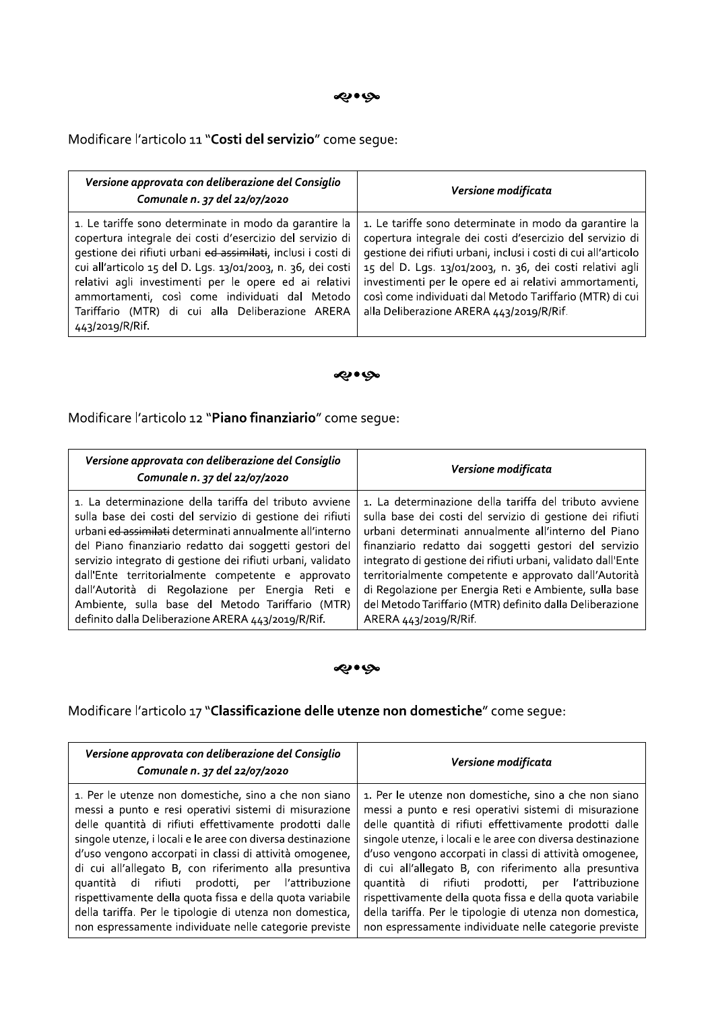Modificare l'articolo 11 "Costi del servizio" come segue:

| Versione approvata con deliberazione del Consiglio<br>Comunale n. 37 del 22/07/2020                                                                                                                                                                                                                                                                                                                                                     | Versione modificata                                                                                                                                                                                                                                                                                                                                                                                                    |
|-----------------------------------------------------------------------------------------------------------------------------------------------------------------------------------------------------------------------------------------------------------------------------------------------------------------------------------------------------------------------------------------------------------------------------------------|------------------------------------------------------------------------------------------------------------------------------------------------------------------------------------------------------------------------------------------------------------------------------------------------------------------------------------------------------------------------------------------------------------------------|
| 1. Le tariffe sono determinate in modo da garantire la<br>copertura integrale dei costi d'esercizio del servizio di<br>gestione dei rifiuti urbani ed assimilati, inclusi i costi di<br>cui all'articolo 15 del D. Lgs. 13/01/2003, n. 36, dei costi<br>relativi agli investimenti per le opere ed ai relativi<br>ammortamenti, così come individuati dal Metodo<br>Tariffario (MTR) di cui alla Deliberazione ARERA<br>443/2019/R/Rif. | 1. Le tariffe sono determinate in modo da garantire la<br>copertura integrale dei costi d'esercizio del servizio di<br>gestione dei rifiuti urbani, inclusi i costi di cui all'articolo<br>15 del D. Lgs. 13/01/2003, n. 36, dei costi relativi agli<br>investimenti per le opere ed ai relativi ammortamenti,<br>così come individuati dal Metodo Tariffario (MTR) di cui<br>alla Deliberazione ARERA 443/2019/R/Rif. |

#### مو• به

Modificare l'articolo 12 "Piano finanziario" come segue:

| Versione approvata con deliberazione del Consiglio<br>Comunale n. 37 del 22/07/2020 | Versione modificata                                          |
|-------------------------------------------------------------------------------------|--------------------------------------------------------------|
| 1. La determinazione della tariffa del tributo avviene                              | 1. La determinazione della tariffa del tributo avviene       |
| sulla base dei costi del servizio di gestione dei rifiuti                           | sulla base dei costi del servizio di gestione dei rifiuti    |
| urbani ed assimilati determinati annualmente all'interno                            | urbani determinati annualmente all'interno del Piano         |
| del Piano finanziario redatto dai soggetti gestori del                              | finanziario redatto dai soggetti gestori del servizio        |
| servizio integrato di gestione dei rifiuti urbani, validato                         | integrato di gestione dei rifiuti urbani, validato dall'Ente |
| dall'Ente territorialmente competente e approvato                                   | territorialmente competente e approvato dall'Autorità        |
| dall'Autorità di Regolazione per Energia Reti e                                     | di Regolazione per Energia Reti e Ambiente, sulla base       |
| Ambiente, sulla base del Metodo Tariffario (MTR)                                    | del Metodo Tariffario (MTR) definito dalla Deliberazione     |
| definito dalla Deliberazione ARERA 443/2019/R/Rif.                                  | ARERA 443/2019/R/Rif.                                        |

## می•بی

# Modificare l'articolo 17 "Classificazione delle utenze non domestiche" come segue:

| Versione approvata con deliberazione del Consiglio<br>Comunale n. 37 del 22/07/2020                                                                                                                                                                                                                                                                                                                                                                                                                                                                                                                  | Versione modificata                                                                                                                                                                                                                                                                                                                                                                                                                                                                                                                                                                                     |
|------------------------------------------------------------------------------------------------------------------------------------------------------------------------------------------------------------------------------------------------------------------------------------------------------------------------------------------------------------------------------------------------------------------------------------------------------------------------------------------------------------------------------------------------------------------------------------------------------|---------------------------------------------------------------------------------------------------------------------------------------------------------------------------------------------------------------------------------------------------------------------------------------------------------------------------------------------------------------------------------------------------------------------------------------------------------------------------------------------------------------------------------------------------------------------------------------------------------|
| 1. Per le utenze non domestiche, sino a che non siano<br>messi a punto e resi operativi sistemi di misurazione<br>delle quantità di rifiuti effettivamente prodotti dalle<br>singole utenze, i locali e le aree con diversa destinazione<br>d'uso vengono accorpati in classi di attività omogenee,<br>di cui all'allegato B, con riferimento alla presuntiva<br>quantità di rifiuti prodotti, per l'attribuzione<br>rispettivamente della quota fissa e della quota variabile<br>della tariffa. Per le tipologie di utenza non domestica,<br>non espressamente individuate nelle categorie previste | 1. Per le utenze non domestiche, sino a che non siano<br>messi a punto e resi operativi sistemi di misurazione<br>delle quantità di rifiuti effettivamente prodotti dalle<br>singole utenze, i locali e le aree con diversa destinazione<br>d'uso vengono accorpati in classi di attività omogenee,<br>di cui all'allegato B, con riferimento alla presuntiva<br>quantità di rifiuti<br>prodotti, per l'attribuzione<br>rispettivamente della quota fissa e della quota variabile<br>della tariffa. Per le tipologie di utenza non domestica,<br>non espressamente individuate nelle categorie previste |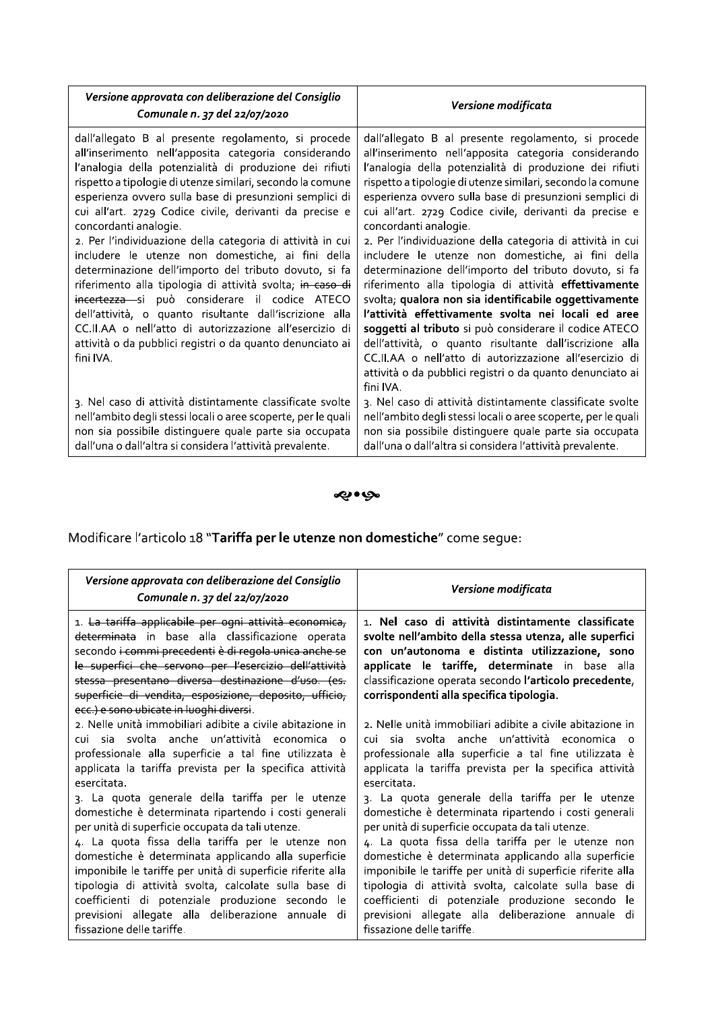| Versione approvata con deliberazione del Consiglio<br>Comunale n. 37 del 22/07/2020                                                                                                                                                                                                                                                                                                                                                                                                                                                                                                                                                                                                                                                                                                                                                                                             | Versione modificata                                                                                                                                                                                                                                                                                                                                                                                                                                                                                                                                                                                                                                                                                                                                                                                                                                                                                                                                                                                |
|---------------------------------------------------------------------------------------------------------------------------------------------------------------------------------------------------------------------------------------------------------------------------------------------------------------------------------------------------------------------------------------------------------------------------------------------------------------------------------------------------------------------------------------------------------------------------------------------------------------------------------------------------------------------------------------------------------------------------------------------------------------------------------------------------------------------------------------------------------------------------------|----------------------------------------------------------------------------------------------------------------------------------------------------------------------------------------------------------------------------------------------------------------------------------------------------------------------------------------------------------------------------------------------------------------------------------------------------------------------------------------------------------------------------------------------------------------------------------------------------------------------------------------------------------------------------------------------------------------------------------------------------------------------------------------------------------------------------------------------------------------------------------------------------------------------------------------------------------------------------------------------------|
| dall'allegato B al presente regolamento, si procede<br>all'inserimento nell'apposita categoria considerando<br>l'analogia della potenzialità di produzione dei rifiuti<br>rispetto a tipologie di utenze similari, secondo la comune<br>esperienza ovvero sulla base di presunzioni semplici di<br>cui all'art. 2729 Codice civile, derivanti da precise e<br>concordanti analogie.<br>2. Per l'individuazione della categoria di attività in cui<br>includere le utenze non domestiche, ai fini della<br>determinazione dell'importo del tributo dovuto, si fa<br>riferimento alla tipologia di attività svolta; in caso di<br>incertezza - si può considerare il codice ATECO<br>dell'attività, o quanto risultante dall'iscrizione alla<br>CC.II.AA o nell'atto di autorizzazione all'esercizio di<br>attività o da pubblici registri o da quanto denunciato ai<br>fini IVA. | dall'allegato B al presente regolamento, si procede<br>all'inserimento nell'apposita categoria considerando<br>l'analogia della potenzialità di produzione dei rifiuti<br>rispetto a tipologie di utenze similari, secondo la comune<br>esperienza ovvero sulla base di presunzioni semplici di<br>cui all'art. 2729 Codice civile, derivanti da precise e<br>concordanti analogie.<br>2. Per l'individuazione della categoria di attività in cui<br>includere le utenze non domestiche, ai fini della<br>determinazione dell'importo del tributo dovuto, si fa<br>riferimento alla tipologia di attività effettivamente<br>svolta; qualora non sia identificabile oggettivamente<br>l'attività effettivamente svolta nei locali ed aree<br>soggetti al tributo si può considerare il codice ATECO<br>dell'attività, o quanto risultante dall'iscrizione alla<br>CC.II.AA o nell'atto di autorizzazione all'esercizio di<br>attività o da pubblici registri o da quanto denunciato ai<br>fini IVA. |
| 3. Nel caso di attività distintamente classificate svolte<br>nell'ambito degli stessi locali o aree scoperte, per le quali<br>non sia possibile distinguere quale parte sia occupata<br>dall'una o dall'altra si considera l'attività prevalente.                                                                                                                                                                                                                                                                                                                                                                                                                                                                                                                                                                                                                               | 3. Nel caso di attività distintamente classificate svolte<br>nell'ambito degli stessi locali o aree scoperte, per le quali<br>non sia possibile distinguere quale parte sia occupata<br>dall'una o dall'altra si considera l'attività prevalente.                                                                                                                                                                                                                                                                                                                                                                                                                                                                                                                                                                                                                                                                                                                                                  |

ல் ஒ

Modificare l'articolo 18 "Tariffa per le utenze non domestiche" come segue:

| Versione approvata con deliberazione del Consiglio<br>Comunale n. 37 del 22/07/2020                                                                                                                                                                                                                                                                                                                                                                                                                                                                                                                                                                                                                                                                          | Versione modificata                                                                                                                                                                                                                                                                                                                                                                                                                                                                                                                                                                                                                                                                                                                                       |
|--------------------------------------------------------------------------------------------------------------------------------------------------------------------------------------------------------------------------------------------------------------------------------------------------------------------------------------------------------------------------------------------------------------------------------------------------------------------------------------------------------------------------------------------------------------------------------------------------------------------------------------------------------------------------------------------------------------------------------------------------------------|-----------------------------------------------------------------------------------------------------------------------------------------------------------------------------------------------------------------------------------------------------------------------------------------------------------------------------------------------------------------------------------------------------------------------------------------------------------------------------------------------------------------------------------------------------------------------------------------------------------------------------------------------------------------------------------------------------------------------------------------------------------|
| 1. La tariffa applicabile per ogni attività economica,<br>determinata in base alla classificazione operata<br>secondo i commi precedenti è di regola unica anche se<br>le superfici che servono per l'esercizio dell'attività<br>stessa presentano diversa destinazione d'uso. (es.<br>superficie di vendita, esposizione, deposito, ufficio,<br>ecc.) e sono ubicate in luoghi diversi.                                                                                                                                                                                                                                                                                                                                                                     | 1. Nel caso di attività distintamente classificate<br>svolte nell'ambito della stessa utenza, alle superfici<br>con un'autonoma e distinta utilizzazione, sono<br>applicate le tariffe, determinate in base alla<br>classificazione operata secondo l'articolo precedente,<br>corrispondenti alla specifica tipologia.                                                                                                                                                                                                                                                                                                                                                                                                                                    |
| 2. Nelle unità immobiliari adibite a civile abitazione in<br>cui sia svolta anche un'attività economica o<br>professionale alla superficie a tal fine utilizzata è<br>applicata la tariffa prevista per la specifica attività<br>esercitata<br>3. La quota generale della tariffa per le utenze<br>domestiche è determinata ripartendo i costi generali<br>per unità di superficie occupata da tali utenze.<br>4. La quota fissa della tariffa per le utenze non<br>domestiche è determinata applicando alla superficie<br>imponibile le tariffe per unità di superficie riferite alla<br>tipologia di attività svolta, calcolate sulla base di<br>coefficienti di potenziale produzione secondo<br>-le<br>previsioni allegate alla deliberazione annuale di | 2. Nelle unità immobiliari adibite a civile abitazione in<br>cui sia svolta anche un'attività economica o<br>professionale alla superficie a tal fine utilizzata è<br>applicata la tariffa prevista per la specifica attività<br>esercitata.<br>3. La quota generale della tariffa per le utenze<br>domestiche è determinata ripartendo i costi generali<br>per unità di superficie occupata da tali utenze.<br>4. La quota fissa della tariffa per le utenze non<br>domestiche è determinata applicando alla superficie<br>imponibile le tariffe per unità di superficie riferite alla<br>tipologia di attività svolta, calcolate sulla base di<br>coefficienti di potenziale produzione secondo le<br>previsioni allegate alla deliberazione annuale di |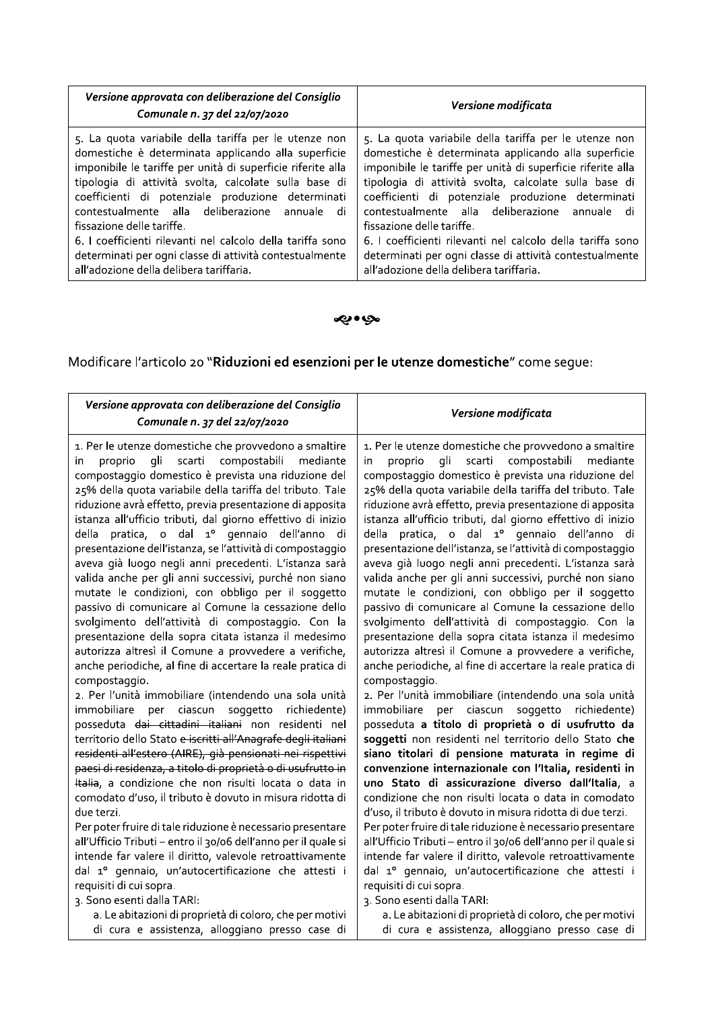| Versione approvata con deliberazione del Consiglio<br>Comunale n. 37 del 22/07/2020 | Versione modificata                                         |
|-------------------------------------------------------------------------------------|-------------------------------------------------------------|
| 5. La quota variabile della tariffa per le utenze non                               | 5. La quota variabile della tariffa per le utenze non       |
| domestiche è determinata applicando alla superficie                                 | domestiche è determinata applicando alla superficie         |
| imponibile le tariffe per unità di superficie riferite alla                         | imponibile le tariffe per unità di superficie riferite alla |
| tipologia di attività svolta, calcolate sulla base di                               | tipologia di attività svolta, calcolate sulla base di       |
| coefficienti di potenziale produzione determinati                                   | coefficienti di potenziale produzione determinati           |
| contestualmente alla deliberazione annuale di                                       | contestualmente alla deliberazione annuale di               |
| fissazione delle tariffe.                                                           | fissazione delle tariffe.                                   |
| 6. I coefficienti rilevanti nel calcolo della tariffa sono                          | 6. I coefficienti rilevanti nel calcolo della tariffa sono  |
| determinati per ogni classe di attività contestualmente                             | determinati per ogni classe di attività contestualmente     |
| all'adozione della delibera tariffaria.                                             | all'adozione della delibera tariffaria.                     |

# ی وي.

Modificare l'articolo 20 "Riduzioni ed esenzioni per le utenze domestiche" come segue:

| Versione approvata con deliberazione del Consiglio<br>Comunale n. 37 del 22/07/2020                                                                                                                                                                                                                                                                                                                                                                                                                                                                                                                                                                                                                                                                                                                                                                                                                                                                                                                                                                                                                                                                                                                                                                                                                                                                                                                                                                                                                                                                                                                                                                                                                                                                                                                                                                 | Versione modificata                                                                                                                                                                                                                                                                                                                                                                                                                                                                                                                                                                                                                                                                                                                                                                                                                                                                                                                                                                                                                                                                                                                                                                                                                                                                                                                                                                                                                                                                                                                                                                                                                                                                                                                                                                                                                                         |
|-----------------------------------------------------------------------------------------------------------------------------------------------------------------------------------------------------------------------------------------------------------------------------------------------------------------------------------------------------------------------------------------------------------------------------------------------------------------------------------------------------------------------------------------------------------------------------------------------------------------------------------------------------------------------------------------------------------------------------------------------------------------------------------------------------------------------------------------------------------------------------------------------------------------------------------------------------------------------------------------------------------------------------------------------------------------------------------------------------------------------------------------------------------------------------------------------------------------------------------------------------------------------------------------------------------------------------------------------------------------------------------------------------------------------------------------------------------------------------------------------------------------------------------------------------------------------------------------------------------------------------------------------------------------------------------------------------------------------------------------------------------------------------------------------------------------------------------------------------|-------------------------------------------------------------------------------------------------------------------------------------------------------------------------------------------------------------------------------------------------------------------------------------------------------------------------------------------------------------------------------------------------------------------------------------------------------------------------------------------------------------------------------------------------------------------------------------------------------------------------------------------------------------------------------------------------------------------------------------------------------------------------------------------------------------------------------------------------------------------------------------------------------------------------------------------------------------------------------------------------------------------------------------------------------------------------------------------------------------------------------------------------------------------------------------------------------------------------------------------------------------------------------------------------------------------------------------------------------------------------------------------------------------------------------------------------------------------------------------------------------------------------------------------------------------------------------------------------------------------------------------------------------------------------------------------------------------------------------------------------------------------------------------------------------------------------------------------------------------|
| 1. Per le utenze domestiche che provvedono a smaltire<br>gli scarti compostabili<br>proprio<br>mediante<br>in.<br>compostaggio domestico è prevista una riduzione del<br>25% della quota variabile della tariffa del tributo. Tale<br>riduzione avrà effetto, previa presentazione di apposita<br>istanza all'ufficio tributi, dal giorno effettivo di inizio<br>della pratica, o dal 1º gennaio dell'anno<br>di.<br>presentazione dell'istanza, se l'attività di compostaggio<br>aveva già luogo negli anni precedenti. L'istanza sarà<br>valida anche per gli anni successivi, purché non siano<br>mutate le condizioni, con obbligo per il soggetto<br>passivo di comunicare al Comune la cessazione dello<br>svolgimento dell'attività di compostaggio. Con la<br>presentazione della sopra citata istanza il medesimo<br>autorizza altresì il Comune a provvedere a verifiche,<br>anche periodiche, al fine di accertare la reale pratica di<br>compostaggio.<br>2. Per l'unità immobiliare (intendendo una sola unità<br>immobiliare<br>per ciascun<br>soggetto<br>richiedente)<br>posseduta dai cittadini italiani non residenti nel<br>territorio dello Stato e iscritti all'Anagrafe degli italiani<br>residenti all'estero (AIRE), già pensionati nei rispettivi<br>paesi di residenza, a titolo di proprietà o di usufrutto in<br>Italia, a condizione che non risulti locata o data in<br>comodato d'uso, il tributo è dovuto in misura ridotta di<br>due terzi.<br>Per poter fruire di tale riduzione è necessario presentare<br>all'Ufficio Tributi - entro il 30/06 dell'anno per il quale si<br>intende far valere il diritto, valevole retroattivamente<br>dal 1º gennaio, un'autocertificazione che attesti i<br>requisiti di cui sopra.<br>3. Sono esenti dalla TARI:<br>a. Le abitazioni di proprietà di coloro, che per motivi | 1. Per le utenze domestiche che provvedono a smaltire<br>gli scarti compostabili<br>proprio<br>mediante<br>in.<br>compostaggio domestico è prevista una riduzione del<br>25% della quota variabile della tariffa del tributo. Tale<br>riduzione avrà effetto, previa presentazione di apposita<br>istanza all'ufficio tributi, dal giorno effettivo di inizio<br>della pratica, o dal 1º gennaio dell'anno di<br>presentazione dell'istanza, se l'attività di compostaggio<br>aveva già luogo negli anni precedenti. L'istanza sarà<br>valida anche per gli anni successivi, purché non siano<br>mutate le condizioni, con obbligo per il soggetto<br>passivo di comunicare al Comune la cessazione dello<br>svolgimento dell'attività di compostaggio. Con la<br>presentazione della sopra citata istanza il medesimo<br>autorizza altresì il Comune a provvedere a verifiche,<br>anche periodiche, al fine di accertare la reale pratica di<br>compostaggio.<br>2. Per l'unità immobiliare (intendendo una sola unità<br>immobiliare<br>per ciascun<br>soggetto richiedente)<br>posseduta a titolo di proprietà o di usufrutto da<br>soggetti non residenti nel territorio dello Stato che<br>siano titolari di pensione maturata in regime di<br>convenzione internazionale con l'Italia, residenti in<br>uno Stato di assicurazione diverso dall'Italia, a<br>condizione che non risulti locata o data in comodato<br>d'uso, il tributo è dovuto in misura ridotta di due terzi.<br>Per poter fruire di tale riduzione è necessario presentare<br>all'Ufficio Tributi - entro il 30/06 dell'anno per il quale si<br>intende far valere il diritto, valevole retroattivamente<br>dal 1º gennaio, un'autocertificazione che attesti i<br>requisiti di cui sopra.<br>3. Sono esenti dalla TARI:<br>a. Le abitazioni di proprietà di coloro, che per motivi |
| di cura e assistenza, alloggiano presso case di                                                                                                                                                                                                                                                                                                                                                                                                                                                                                                                                                                                                                                                                                                                                                                                                                                                                                                                                                                                                                                                                                                                                                                                                                                                                                                                                                                                                                                                                                                                                                                                                                                                                                                                                                                                                     | di cura e assistenza, alloggiano presso case di                                                                                                                                                                                                                                                                                                                                                                                                                                                                                                                                                                                                                                                                                                                                                                                                                                                                                                                                                                                                                                                                                                                                                                                                                                                                                                                                                                                                                                                                                                                                                                                                                                                                                                                                                                                                             |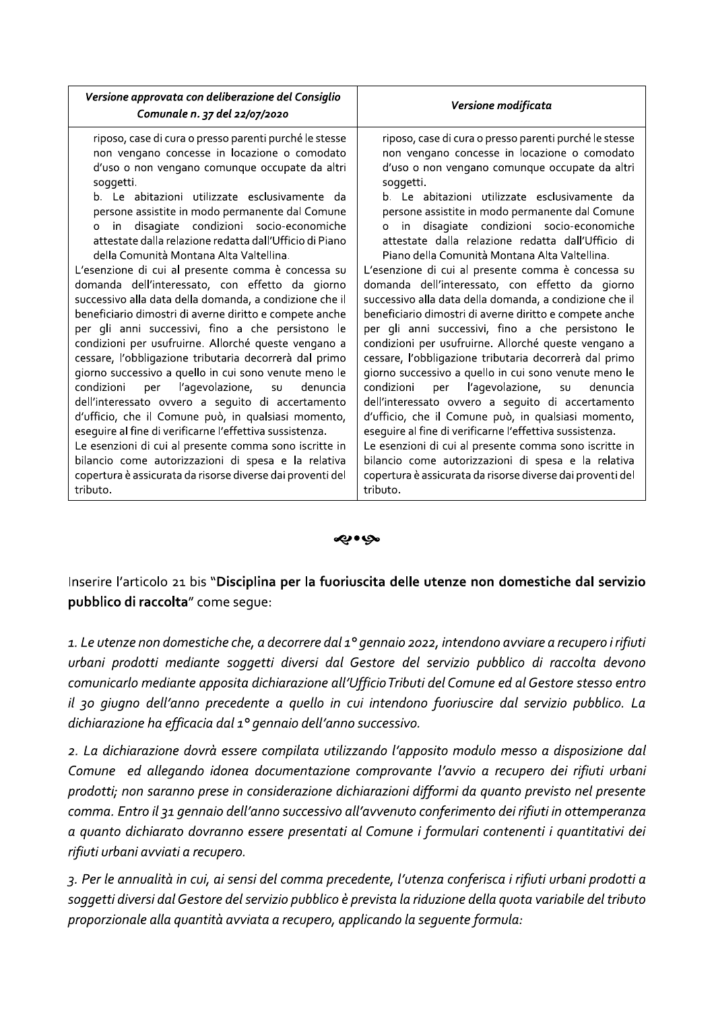| Versione approvata con deliberazione del Consiglio<br>Comunale n. 37 del 22/07/2020                                                                                                                                                                                                                                                                                                                                                                                                                                                                                                                                                                                                                                                                                                                                                                                                                                                                                                                                                                                                                                                                                                                                                                                                                                                      | Versione modificata                                                                                                                                                                                                                                                                                                                                                                                                                                                                                                                                                                                                                                                                                                                                                                                                                                                                                                                                                                                                                                                                                                                                                                                                                                                                                                                |
|------------------------------------------------------------------------------------------------------------------------------------------------------------------------------------------------------------------------------------------------------------------------------------------------------------------------------------------------------------------------------------------------------------------------------------------------------------------------------------------------------------------------------------------------------------------------------------------------------------------------------------------------------------------------------------------------------------------------------------------------------------------------------------------------------------------------------------------------------------------------------------------------------------------------------------------------------------------------------------------------------------------------------------------------------------------------------------------------------------------------------------------------------------------------------------------------------------------------------------------------------------------------------------------------------------------------------------------|------------------------------------------------------------------------------------------------------------------------------------------------------------------------------------------------------------------------------------------------------------------------------------------------------------------------------------------------------------------------------------------------------------------------------------------------------------------------------------------------------------------------------------------------------------------------------------------------------------------------------------------------------------------------------------------------------------------------------------------------------------------------------------------------------------------------------------------------------------------------------------------------------------------------------------------------------------------------------------------------------------------------------------------------------------------------------------------------------------------------------------------------------------------------------------------------------------------------------------------------------------------------------------------------------------------------------------|
| riposo, case di cura o presso parenti purché le stesse<br>non vengano concesse in locazione o comodato<br>d'uso o non vengano comunque occupate da altri<br>soggetti.<br>b. Le abitazioni utilizzate esclusivamente da<br>persone assistite in modo permanente dal Comune<br>disagiate condizioni socio-economiche<br>in i<br>$\Omega$<br>attestate dalla relazione redatta dall'Ufficio di Piano<br>della Comunità Montana Alta Valtellina.<br>L'esenzione di cui al presente comma è concessa su<br>domanda dell'interessato, con effetto da giorno<br>successivo alla data della domanda, a condizione che il<br>beneficiario dimostri di averne diritto e compete anche<br>per gli anni successivi, fino a che persistono le<br>condizioni per usufruirne. Allorché queste vengano a<br>cessare, l'obbligazione tributaria decorrerà dal primo<br>giorno successivo a quello in cui sono venute meno le<br>condizioni<br>l'agevolazione,<br>per<br>denuncia<br>SU<br>dell'interessato ovvero a seguito di accertamento<br>d'ufficio, che il Comune può, in qualsiasi momento,<br>eseguire al fine di verificarne l'effettiva sussistenza.<br>Le esenzioni di cui al presente comma sono iscritte in<br>bilancio come autorizzazioni di spesa e la relativa<br>copertura è assicurata da risorse diverse dai proventi del<br>tributo. | riposo, case di cura o presso parenti purché le stesse<br>non vengano concesse in locazione o comodato<br>d'uso o non vengano comunque occupate da altri<br>soqqetti.<br>b. Le abitazioni utilizzate esclusivamente da<br>persone assistite in modo permanente dal Comune<br>in disagiate condizioni socio-economiche<br>$\circ$<br>attestate dalla relazione redatta dall'Ufficio di<br>Piano della Comunità Montana Alta Valtellina.<br>L'esenzione di cui al presente comma è concessa su<br>domanda dell'interessato, con effetto da giorno<br>successivo alla data della domanda, a condizione che il<br>beneficiario dimostri di averne diritto e compete anche<br>per gli anni successivi, fino a che persistono le<br>condizioni per usufruirne. Allorché queste vengano a<br>cessare, l'obbligazione tributaria decorrerà dal primo<br>giorno successivo a quello in cui sono venute meno le<br>condizioni<br>l'agevolazione,<br>per<br>denuncia<br>SU<br>dell'interessato ovvero a seguito di accertamento<br>d'ufficio, che il Comune può, in qualsiasi momento,<br>eseguire al fine di verificarne l'effettiva sussistenza.<br>Le esenzioni di cui al presente comma sono iscritte in<br>bilancio come autorizzazioni di spesa e la relativa<br>copertura è assicurata da risorse diverse dai proventi del<br>tributo. |

ی•یه ب

Inserire l'articolo 21 bis "Disciplina per la fuoriuscita delle utenze non domestiche dal servizio pubblico di raccolta" come seque:

1. Le utenze non domestiche che, a decorrere dal 1º gennaio 2022, intendono avviare a recupero i rifiuti urbani prodotti mediante soggetti diversi dal Gestore del servizio pubblico di raccolta devono comunicarlo mediante apposita dichiarazione all'Ufficio Tributi del Comune ed al Gestore stesso entro il 30 giugno dell'anno precedente a quello in cui intendono fuoriuscire dal servizio pubblico. La dichiarazione ha efficacia dal 1º gennaio dell'anno successivo.

2. La dichiarazione dovrà essere compilata utilizzando l'apposito modulo messo a disposizione dal Comune ed allegando idonea documentazione comprovante l'avvio a recupero dei rifiuti urbani prodotti; non saranno prese in considerazione dichiarazioni difformi da quanto previsto nel presente comma. Entro il 31 gennaio dell'anno successivo all'avvenuto conferimento dei rifiuti in ottemperanza a quanto dichiarato dovranno essere presentati al Comune i formulari contenenti i quantitativi dei rifiuti urbani avviati a recupero.

3. Per le annualità in cui, ai sensi del comma precedente, l'utenza conferisca i rifiuti urbani prodotti a soggetti diversi dal Gestore del servizio pubblico è prevista la riduzione della quota variabile del tributo proporzionale alla quantità avviata a recupero, applicando la sequente formula: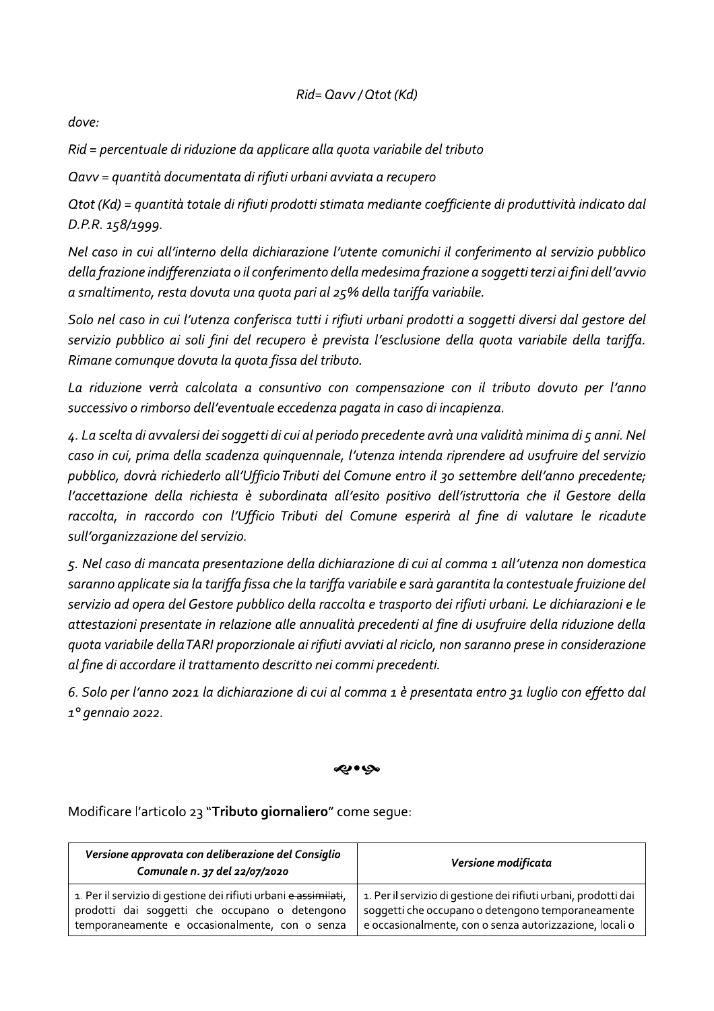# Rid= Qavv / Qtot (Kd)

dove:

Rid = percentuale di riduzione da applicare alla quota variabile del tributo

Qavv = quantità documentata di rifiuti urbani avviata a recupero

Otot (Kd) = quantità totale di rifiuti prodotti stimata mediante coefficiente di produttività indicato dal D.P.R. 158/1999.

Nel caso in cui all'interno della dichiarazione l'utente comunichi il conferimento al servizio pubblico della frazione indifferenziata o il conferimento della medesima frazione a soggetti terzi ai fini dell'avvio a smaltimento, resta dovuta una quota pari al 25% della tariffa variabile.

Solo nel caso in cui l'utenza conferisca tutti i rifiuti urbani prodotti a soggetti diversi dal gestore del servizio pubblico ai soli fini del recupero è prevista l'esclusione della quota variabile della tariffa. Rimane comunque dovuta la quota fissa del tributo.

La riduzione verrà calcolata a consuntivo con compensazione con il tributo dovuto per l'anno successivo o rimborso dell'eventuale eccedenza pagata in caso di incapienza.

4. La scelta di avvalersi dei soggetti di cui al periodo precedente avrà una validità minima di 5 anni. Nel caso in cui, prima della scadenza quinquennale, l'utenza intenda riprendere ad usufruire del servizio pubblico, dovrà richiederlo all'Ufficio Tributi del Comune entro il 30 settembre dell'anno precedente; l'accettazione della richiesta è subordinata all'esito positivo dell'istruttoria che il Gestore della raccolta, in raccordo con l'Ufficio Tributi del Comune esperirà al fine di valutare le ricadute sull'organizzazione del servizio.

5. Nel caso di mancata presentazione della dichiarazione di cui al comma 1 all'utenza non domestica saranno applicate sia la tariffa fissa che la tariffa variabile e sarà garantita la contestuale fruizione del servizio ad opera del Gestore pubblico della raccolta e trasporto dei rifiuti urbani. Le dichiarazioni e le attestazioni presentate in relazione alle annualità precedenti al fine di usufruire della riduzione della quota variabile della TARI proporzionale ai rifiuti avviati al riciclo, non saranno prese in considerazione al fine di accordare il trattamento descritto nei commi precedenti.

6. Solo per l'anno 2021 la dichiarazione di cui al comma 1 è presentata entro 31 luglio con effetto dal 1º gennaio 2022.

#### ی•یه ب

Modificare l'articolo 23 "Tributo giornaliero" come seque:

| Versione approvata con deliberazione del Consiglio<br>Comunale n. 37 del 22/07/2020 | Versione modificata                                             |
|-------------------------------------------------------------------------------------|-----------------------------------------------------------------|
| 1. Per il servizio di gestione dei rifiuti urbani e assimilati,                     | 1. Per il servizio di gestione dei rifiuti urbani, prodotti dai |
| prodotti dai soggetti che occupano o detengono                                      | soggetti che occupano o detengono temporaneamente               |
| temporaneamente e occasionalmente, con o senza                                      | e occasionalmente, con o senza autorizzazione, locali o         |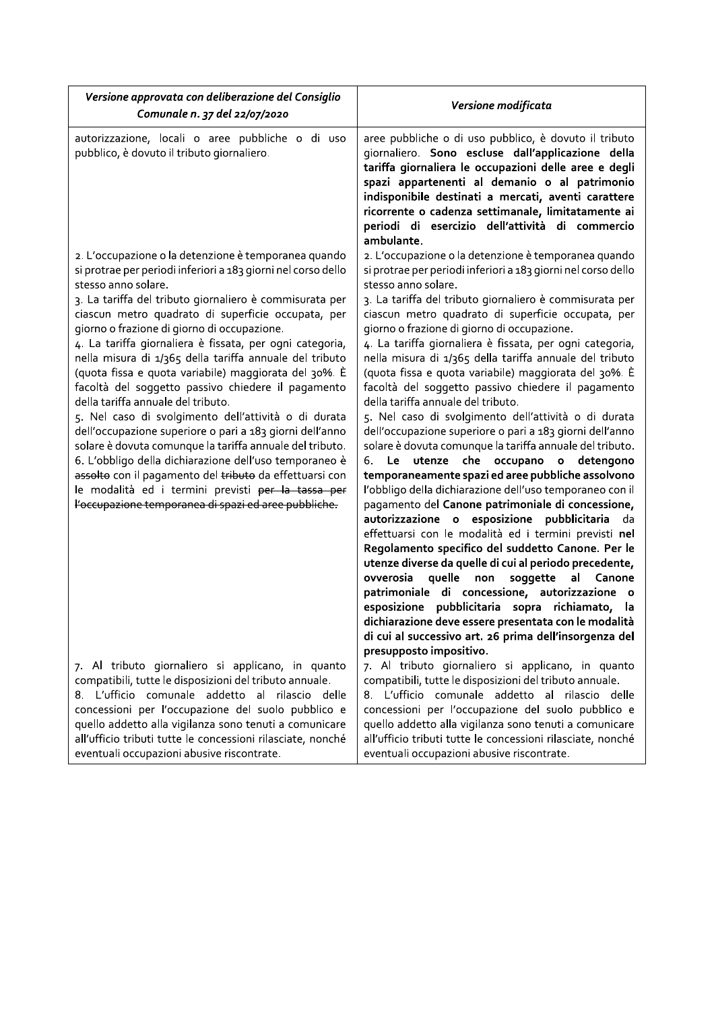| Versione approvata con deliberazione del Consiglio<br>Comunale n. 37 del 22/07/2020                                                                                                                                                                                                                                                                                                                                                                                                                                                                                                                                                                                                                                                                                                                                                                                                                                                                                                                         | Versione modificata                                                                                                                                                                                                                                                                                                                                                                                                                                                                                                                                                                                                                                                                                                                                                                                                                                                                                                                                                                                                                                                                                                                                                                                                                                                                                                                                                                                                                                                                                      |
|-------------------------------------------------------------------------------------------------------------------------------------------------------------------------------------------------------------------------------------------------------------------------------------------------------------------------------------------------------------------------------------------------------------------------------------------------------------------------------------------------------------------------------------------------------------------------------------------------------------------------------------------------------------------------------------------------------------------------------------------------------------------------------------------------------------------------------------------------------------------------------------------------------------------------------------------------------------------------------------------------------------|----------------------------------------------------------------------------------------------------------------------------------------------------------------------------------------------------------------------------------------------------------------------------------------------------------------------------------------------------------------------------------------------------------------------------------------------------------------------------------------------------------------------------------------------------------------------------------------------------------------------------------------------------------------------------------------------------------------------------------------------------------------------------------------------------------------------------------------------------------------------------------------------------------------------------------------------------------------------------------------------------------------------------------------------------------------------------------------------------------------------------------------------------------------------------------------------------------------------------------------------------------------------------------------------------------------------------------------------------------------------------------------------------------------------------------------------------------------------------------------------------------|
| autorizzazione, locali o aree pubbliche o di uso<br>pubblico, è dovuto il tributo giornaliero.                                                                                                                                                                                                                                                                                                                                                                                                                                                                                                                                                                                                                                                                                                                                                                                                                                                                                                              | aree pubbliche o di uso pubblico, è dovuto il tributo<br>giornaliero. Sono escluse dall'applicazione della<br>tariffa giornaliera le occupazioni delle aree e degli<br>spazi appartenenti al demanio o al patrimonio<br>indisponibile destinati a mercati, aventi carattere<br>ricorrente o cadenza settimanale, limitatamente ai<br>periodi di esercizio dell'attività di commercio<br>ambulante.                                                                                                                                                                                                                                                                                                                                                                                                                                                                                                                                                                                                                                                                                                                                                                                                                                                                                                                                                                                                                                                                                                       |
| 2. L'occupazione o la detenzione è temporanea quando<br>si protrae per periodi inferiori a 183 giorni nel corso dello<br>stesso anno solare.<br>3. La tariffa del tributo giornaliero è commisurata per<br>ciascun metro quadrato di superficie occupata, per<br>giorno o frazione di giorno di occupazione.<br>4. La tariffa giornaliera è fissata, per ogni categoria,<br>nella misura di 1/365 della tariffa annuale del tributo<br>(quota fissa e quota variabile) maggiorata del 30%. È<br>facoltà del soggetto passivo chiedere il pagamento<br>della tariffa annuale del tributo.<br>5. Nel caso di svolgimento dell'attività o di durata<br>dell'occupazione superiore o pari a 183 giorni dell'anno<br>solare è dovuta comunque la tariffa annuale del tributo.<br>6. L'obbligo della dichiarazione dell'uso temporaneo è<br>assolto con il pagamento del tributo da effettuarsi con<br>le modalità ed i termini previsti per la tassa per<br>l'occupazione temporanea di spazi ed aree pubbliche. | 2. L'occupazione o la detenzione è temporanea quando<br>si protrae per periodi inferiori a 183 giorni nel corso dello<br>stesso anno solare.<br>3. La tariffa del tributo giornaliero è commisurata per<br>ciascun metro quadrato di superficie occupata, per<br>giorno o frazione di giorno di occupazione.<br>4. La tariffa giornaliera è fissata, per ogni categoria,<br>nella misura di 1/365 della tariffa annuale del tributo<br>(quota fissa e quota variabile) maggiorata del 30%. È<br>facoltà del soggetto passivo chiedere il pagamento<br>della tariffa annuale del tributo.<br>5. Nel caso di svolgimento dell'attività o di durata<br>dell'occupazione superiore o pari a 183 giorni dell'anno<br>solare è dovuta comunque la tariffa annuale del tributo.<br>Le utenze che occupano o detengono<br>6.<br>temporaneamente spazi ed aree pubbliche assolvono<br>l'obbligo della dichiarazione dell'uso temporaneo con il<br>pagamento del Canone patrimoniale di concessione,<br>autorizzazione o esposizione pubblicitaria<br>da<br>effettuarsi con le modalità ed i termini previsti nel<br>Regolamento specifico del suddetto Canone. Per le<br>utenze diverse da quelle di cui al periodo precedente,<br>ovverosia<br>quelle<br>soggette<br>non<br>al<br>Canone<br>patrimoniale di concessione, autorizzazione o<br>esposizione pubblicitaria sopra<br>richiamato, la<br>dichiarazione deve essere presentata con le modalità<br>di cui al successivo art. 26 prima dell'insorgenza del |
| 7. Al tributo giornaliero si applicano, in quanto<br>compatibili, tutte le disposizioni del tributo annuale.<br>8. L'ufficio comunale addetto al rilascio delle<br>concessioni per l'occupazione del suolo pubblico e<br>quello addetto alla vigilanza sono tenuti a comunicare<br>all'ufficio tributi tutte le concessioni rilasciate, nonché<br>eventuali occupazioni abusive riscontrate.                                                                                                                                                                                                                                                                                                                                                                                                                                                                                                                                                                                                                | presupposto impositivo.<br>7. Al tributo giornaliero si applicano, in quanto<br>compatibili, tutte le disposizioni del tributo annuale.<br>8. L'ufficio comunale addetto al rilascio delle<br>concessioni per l'occupazione del suolo pubblico e<br>quello addetto alla vigilanza sono tenuti a comunicare<br>all'ufficio tributi tutte le concessioni rilasciate, nonché<br>eventuali occupazioni abusive riscontrate.                                                                                                                                                                                                                                                                                                                                                                                                                                                                                                                                                                                                                                                                                                                                                                                                                                                                                                                                                                                                                                                                                  |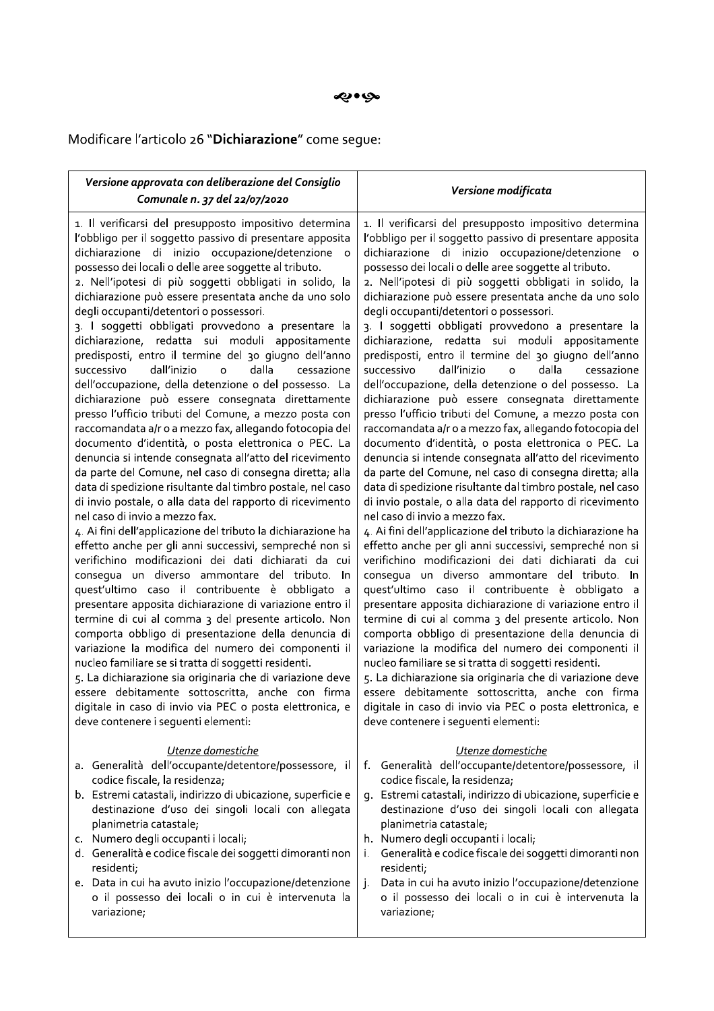Modificare l'articolo 26 "Dichiarazione" come segue:

| Versione approvata con deliberazione del Consiglio<br>Comunale n. 37 del 22/07/2020                                                                                                                                                                                                                                                                                                                                                                                                                                                                                                                                                                                                                                                                                                                                                                                                                                                                                                                                                                                                                                                                                                                                                                                                                                                                                                                                                                                                                                                                                                                                                                                                                                                                                                                                                                                                                                                                                                                                     | Versione modificata                                                                                                                                                                                                                                                                                                                                                                                                                                                                                                                                                                                                                                                                                                                                                                                                                                                                                                                                                                                                                                                                                                                                                                                                                                                                                                                                                                                                                                                                                                                                                                                                                                                                                                                                                                                                                                                                                                                                                                                              |
|-------------------------------------------------------------------------------------------------------------------------------------------------------------------------------------------------------------------------------------------------------------------------------------------------------------------------------------------------------------------------------------------------------------------------------------------------------------------------------------------------------------------------------------------------------------------------------------------------------------------------------------------------------------------------------------------------------------------------------------------------------------------------------------------------------------------------------------------------------------------------------------------------------------------------------------------------------------------------------------------------------------------------------------------------------------------------------------------------------------------------------------------------------------------------------------------------------------------------------------------------------------------------------------------------------------------------------------------------------------------------------------------------------------------------------------------------------------------------------------------------------------------------------------------------------------------------------------------------------------------------------------------------------------------------------------------------------------------------------------------------------------------------------------------------------------------------------------------------------------------------------------------------------------------------------------------------------------------------------------------------------------------------|------------------------------------------------------------------------------------------------------------------------------------------------------------------------------------------------------------------------------------------------------------------------------------------------------------------------------------------------------------------------------------------------------------------------------------------------------------------------------------------------------------------------------------------------------------------------------------------------------------------------------------------------------------------------------------------------------------------------------------------------------------------------------------------------------------------------------------------------------------------------------------------------------------------------------------------------------------------------------------------------------------------------------------------------------------------------------------------------------------------------------------------------------------------------------------------------------------------------------------------------------------------------------------------------------------------------------------------------------------------------------------------------------------------------------------------------------------------------------------------------------------------------------------------------------------------------------------------------------------------------------------------------------------------------------------------------------------------------------------------------------------------------------------------------------------------------------------------------------------------------------------------------------------------------------------------------------------------------------------------------------------------|
| 1. Il verificarsi del presupposto impositivo determina<br>l'obbligo per il soggetto passivo di presentare apposita<br>dichiarazione di inizio occupazione/detenzione<br>$\circ$<br>possesso dei locali o delle aree soggette al tributo.<br>2. Nell'ipotesi di più soggetti obbligati in solido, la<br>dichiarazione può essere presentata anche da uno solo<br>degli occupanti/detentori o possessori.<br>3. I soggetti obbligati provvedono a presentare la<br>dichiarazione, redatta sui moduli appositamente<br>predisposti, entro il termine del 30 giugno dell'anno<br>dalla<br>dall'inizio<br>$\circ$<br>successivo<br>cessazione<br>dell'occupazione, della detenzione o del possesso. La<br>dichiarazione può essere consegnata direttamente<br>presso l'ufficio tributi del Comune, a mezzo posta con<br>raccomandata a/r o a mezzo fax, allegando fotocopia del<br>documento d'identità, o posta elettronica o PEC. La<br>denuncia si intende consegnata all'atto del ricevimento<br>da parte del Comune, nel caso di consegna diretta; alla<br>data di spedizione risultante dal timbro postale, nel caso<br>di invio postale, o alla data del rapporto di ricevimento<br>nel caso di invio a mezzo fax.<br>4. Ai fini dell'applicazione del tributo la dichiarazione ha<br>effetto anche per gli anni successivi, sempreché non si<br>verifichino modificazioni dei dati dichiarati da cui<br>consegua un diverso ammontare del tributo. In<br>quest'ultimo caso il contribuente è obbligato<br>presentare apposita dichiarazione di variazione entro il<br>termine di cui al comma 3 del presente articolo. Non<br>comporta obbligo di presentazione della denuncia di<br>variazione la modifica del numero dei componenti il<br>nucleo familiare se si tratta di soggetti residenti.<br>5. La dichiarazione sia originaria che di variazione deve<br>essere debitamente sottoscritta, anche con firma<br>digitale in caso di invio via PEC o posta elettronica, e<br>deve contenere i seguenti elementi: | 1. Il verificarsi del presupposto impositivo determina<br>l'obbligo per il soggetto passivo di presentare apposita<br>dichiarazione di inizio occupazione/detenzione o<br>possesso dei locali o delle aree soggette al tributo.<br>2. Nell'ipotesi di più soggetti obbligati in solido, la<br>dichiarazione può essere presentata anche da uno solo<br>degli occupanti/detentori o possessori.<br>3. I soggetti obbligati provvedono a presentare la<br>dichiarazione, redatta sui moduli appositamente<br>predisposti, entro il termine del 30 giugno dell'anno<br>dall'inizio<br>$\circ$<br>dalla<br>successivo<br>cessazione<br>dell'occupazione, della detenzione o del possesso. La<br>dichiarazione può essere consegnata direttamente<br>presso l'ufficio tributi del Comune, a mezzo posta con<br>raccomandata a/r o a mezzo fax, allegando fotocopia del<br>documento d'identità, o posta elettronica o PEC. La<br>denuncia si intende consegnata all'atto del ricevimento<br>da parte del Comune, nel caso di consegna diretta; alla<br>data di spedizione risultante dal timbro postale, nel caso<br>di invio postale, o alla data del rapporto di ricevimento<br>nel caso di invio a mezzo fax.<br>4. Ai fini dell'applicazione del tributo la dichiarazione ha<br>effetto anche per gli anni successivi, sempreché non si<br>verifichino modificazioni dei dati dichiarati da cui<br>consegua un diverso ammontare del tributo. In<br>quest'ultimo caso il contribuente è obbligato a<br>presentare apposita dichiarazione di variazione entro il<br>termine di cui al comma 3 del presente articolo. Non<br>comporta obbligo di presentazione della denuncia di<br>variazione la modifica del numero dei componenti il<br>nucleo familiare se si tratta di soggetti residenti.<br>5. La dichiarazione sia originaria che di variazione deve<br>essere debitamente sottoscritta, anche con firma<br>digitale in caso di invio via PEC o posta elettronica, e<br>deve contenere i seguenti elementi: |
| Utenze domestiche<br>a. Generalità dell'occupante/detentore/possessore, il<br>codice fiscale, la residenza;<br>b. Estremi catastali, indirizzo di ubicazione, superficie e<br>destinazione d'uso dei singoli locali con allegata<br>planimetria catastale;<br>c. Numero degli occupanti i locali;<br>d. Generalità e codice fiscale dei soggetti dimoranti non<br>residenti;<br>e. Data in cui ha avuto inizio l'occupazione/detenzione<br>o il possesso dei locali o in cui è intervenuta la<br>variazione;                                                                                                                                                                                                                                                                                                                                                                                                                                                                                                                                                                                                                                                                                                                                                                                                                                                                                                                                                                                                                                                                                                                                                                                                                                                                                                                                                                                                                                                                                                            | Utenze domestiche<br>f. Generalità dell'occupante/detentore/possessore, il<br>codice fiscale, la residenza;<br>g. Estremi catastali, indirizzo di ubicazione, superficie e<br>destinazione d'uso dei singoli locali con allegata<br>planimetria catastale;<br>h. Numero degli occupanti i locali;<br>Generalità e codice fiscale dei soggetti dimoranti non<br>İ.<br>residenti;<br>Data in cui ha avuto inizio l'occupazione/detenzione<br>j.<br>o il possesso dei locali o in cui è intervenuta la<br>variazione;                                                                                                                                                                                                                                                                                                                                                                                                                                                                                                                                                                                                                                                                                                                                                                                                                                                                                                                                                                                                                                                                                                                                                                                                                                                                                                                                                                                                                                                                                               |